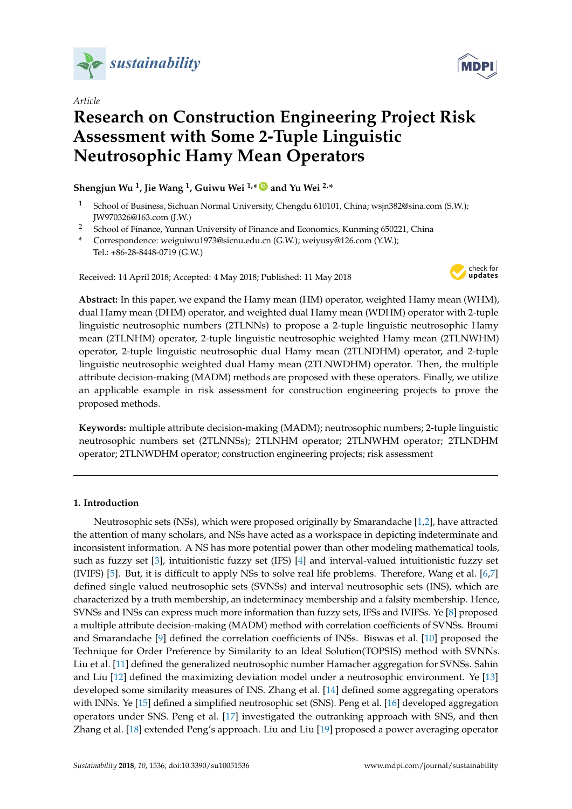

*Article*



# **Research on Construction Engineering Project Risk Assessment with Some 2-Tuple Linguistic Neutrosophic Hamy Mean Operators**

# **Shengjun Wu <sup>1</sup> , Jie Wang <sup>1</sup> , Guiwu Wei 1,\* [ID](https://orcid.org/0000-0001-9074-2005) and Yu Wei 2,\***

- <sup>1</sup> School of Business, Sichuan Normal University, Chengdu 610101, China; wsjn382@sina.com (S.W.); JW970326@163.com (J.W.)
- <sup>2</sup> School of Finance, Yunnan University of Finance and Economics, Kunming 650221, China
- **\*** Correspondence: weiguiwu1973@sicnu.edu.cn (G.W.); weiyusy@126.com (Y.W.); Tel.: +86-28-8448-0719 (G.W.)

Received: 14 April 2018; Accepted: 4 May 2018; Published: 11 May 2018



**Abstract:** In this paper, we expand the Hamy mean (HM) operator, weighted Hamy mean (WHM), dual Hamy mean (DHM) operator, and weighted dual Hamy mean (WDHM) operator with 2-tuple linguistic neutrosophic numbers (2TLNNs) to propose a 2-tuple linguistic neutrosophic Hamy mean (2TLNHM) operator, 2-tuple linguistic neutrosophic weighted Hamy mean (2TLNWHM) operator, 2-tuple linguistic neutrosophic dual Hamy mean (2TLNDHM) operator, and 2-tuple linguistic neutrosophic weighted dual Hamy mean (2TLNWDHM) operator. Then, the multiple attribute decision-making (MADM) methods are proposed with these operators. Finally, we utilize an applicable example in risk assessment for construction engineering projects to prove the proposed methods.

**Keywords:** multiple attribute decision-making (MADM); neutrosophic numbers; 2-tuple linguistic neutrosophic numbers set (2TLNNSs); 2TLNHM operator; 2TLNWHM operator; 2TLNDHM operator; 2TLNWDHM operator; construction engineering projects; risk assessment

### **1. Introduction**

Neutrosophic sets (NSs), which were proposed originally by Smarandache [\[1,](#page-23-0)[2\]](#page-23-1), have attracted the attention of many scholars, and NSs have acted as a workspace in depicting indeterminate and inconsistent information. A NS has more potential power than other modeling mathematical tools, such as fuzzy set [\[3\]](#page-23-2), intuitionistic fuzzy set (IFS) [\[4\]](#page-23-3) and interval-valued intuitionistic fuzzy set (IVIFS) [\[5\]](#page-23-4). But, it is difficult to apply NSs to solve real life problems. Therefore, Wang et al. [\[6](#page-23-5)[,7\]](#page-23-6) defined single valued neutrosophic sets (SVNSs) and interval neutrosophic sets (INS), which are characterized by a truth membership, an indeterminacy membership and a falsity membership. Hence, SVNSs and INSs can express much more information than fuzzy sets, IFSs and IVIFSs. Ye [\[8\]](#page-23-7) proposed a multiple attribute decision-making (MADM) method with correlation coefficients of SVNSs. Broumi and Smarandache [\[9\]](#page-23-8) defined the correlation coefficients of INSs. Biswas et al. [\[10\]](#page-23-9) proposed the Technique for Order Preference by Similarity to an Ideal Solution(TOPSIS) method with SVNNs. Liu et al. [\[11\]](#page-23-10) defined the generalized neutrosophic number Hamacher aggregation for SVNSs. Sahin and Liu [\[12\]](#page-23-11) defined the maximizing deviation model under a neutrosophic environment. Ye [\[13\]](#page-24-0) developed some similarity measures of INS. Zhang et al. [\[14\]](#page-24-1) defined some aggregating operators with INNs. Ye [\[15\]](#page-24-2) defined a simplified neutrosophic set (SNS). Peng et al. [\[16\]](#page-24-3) developed aggregation operators under SNS. Peng et al. [\[17\]](#page-24-4) investigated the outranking approach with SNS, and then Zhang et al. [\[18\]](#page-24-5) extended Peng's approach. Liu and Liu [\[19\]](#page-24-6) proposed a power averaging operator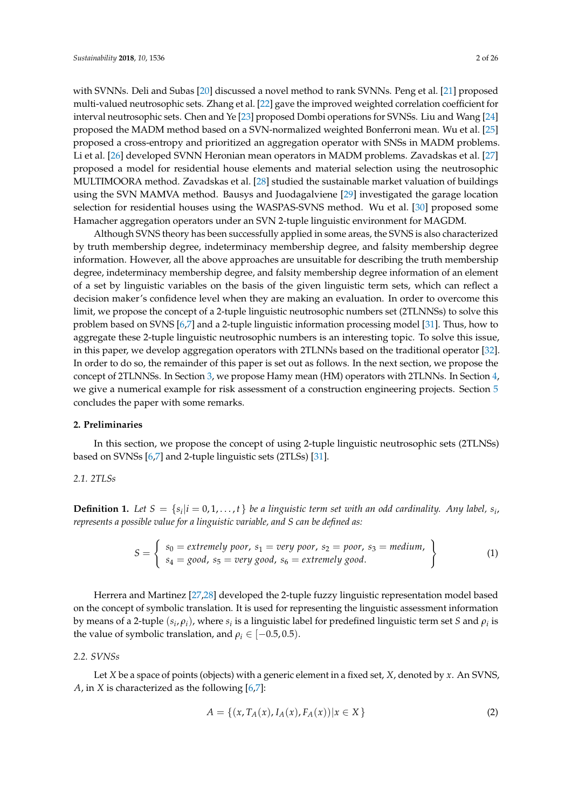with SVNNs. Deli and Subas [\[20\]](#page-24-7) discussed a novel method to rank SVNNs. Peng et al. [\[21\]](#page-24-8) proposed multi-valued neutrosophic sets. Zhang et al. [\[22\]](#page-24-9) gave the improved weighted correlation coefficient for interval neutrosophic sets. Chen and Ye [\[23\]](#page-24-10) proposed Dombi operations for SVNSs. Liu and Wang [\[24\]](#page-24-11) proposed the MADM method based on a SVN-normalized weighted Bonferroni mean. Wu et al. [\[25\]](#page-24-12) proposed a cross-entropy and prioritized an aggregation operator with SNSs in MADM problems. Li et al. [\[26\]](#page-24-13) developed SVNN Heronian mean operators in MADM problems. Zavadskas et al. [\[27\]](#page-24-14) proposed a model for residential house elements and material selection using the neutrosophic MULTIMOORA method. Zavadskas et al. [\[28\]](#page-24-15) studied the sustainable market valuation of buildings using the SVN MAMVA method. Bausys and Juodagalviene [\[29\]](#page-24-16) investigated the garage location selection for residential houses using the WASPAS-SVNS method. Wu et al. [\[30\]](#page-24-17) proposed some Hamacher aggregation operators under an SVN 2-tuple linguistic environment for MAGDM.

Although SVNS theory has been successfully applied in some areas, the SVNS is also characterized by truth membership degree, indeterminacy membership degree, and falsity membership degree information. However, all the above approaches are unsuitable for describing the truth membership degree, indeterminacy membership degree, and falsity membership degree information of an element of a set by linguistic variables on the basis of the given linguistic term sets, which can reflect a decision maker's confidence level when they are making an evaluation. In order to overcome this limit, we propose the concept of a 2-tuple linguistic neutrosophic numbers set (2TLNNSs) to solve this problem based on SVNS [\[6,](#page-23-5)[7\]](#page-23-6) and a 2-tuple linguistic information processing model [\[31\]](#page-24-18). Thus, how to aggregate these 2-tuple linguistic neutrosophic numbers is an interesting topic. To solve this issue, in this paper, we develop aggregation operators with 2TLNNs based on the traditional operator [\[32\]](#page-24-19). In order to do so, the remainder of this paper is set out as follows. In the next section, we propose the concept of 2TLNNSs. In Section [3,](#page-3-0) we propose Hamy mean (HM) operators with 2TLNNs. In Section [4,](#page-20-0) we give a numerical example for risk assessment of a construction engineering projects. Section [5](#page-23-12) concludes the paper with some remarks.

### **2. Preliminaries**

In this section, we propose the concept of using 2-tuple linguistic neutrosophic sets (2TLNSs) based on SVNSs [\[6,](#page-23-5)[7\]](#page-23-6) and 2-tuple linguistic sets (2TLSs) [\[31\]](#page-24-18).

### *2.1. 2TLSs*

**Definition 1.** Let  $S = \{s_i | i = 0, 1, \ldots, t\}$  be a linguistic term set with an odd cardinality. Any label,  $s_i$ , *represents a possible value for a linguistic variable, and S can be defined as:*

$$
S = \left\{\n\begin{array}{l}\ns_0 = extremely\ poor, \ s_1 = very\ poor, \ s_2 = poor, \ s_3 = medium, \ s_4 = good, \ s_5 = very\ good, \ s_6 = extremely\ good.\n\end{array}\n\right\}
$$
\n(1)

Herrera and Martinez [\[27,](#page-24-14)[28\]](#page-24-15) developed the 2-tuple fuzzy linguistic representation model based on the concept of symbolic translation. It is used for representing the linguistic assessment information by means of a 2-tuple  $(s_i, \rho_i)$ , where  $s_i$  is a linguistic label for predefined linguistic term set *S* and  $\rho_i$  is the value of symbolic translation, and  $\rho_i \in [-0.5, 0.5)$ .

### *2.2. SVNSs*

Let *X* be a space of points (objects) with a generic element in a fixed set, *X*, denoted by *x*. An SVNS, *A*, in *X* is characterized as the following [\[6,](#page-23-5)[7\]](#page-23-6):

$$
A = \{(x, T_A(x), I_A(x), F_A(x)) | x \in X\}
$$
 (2)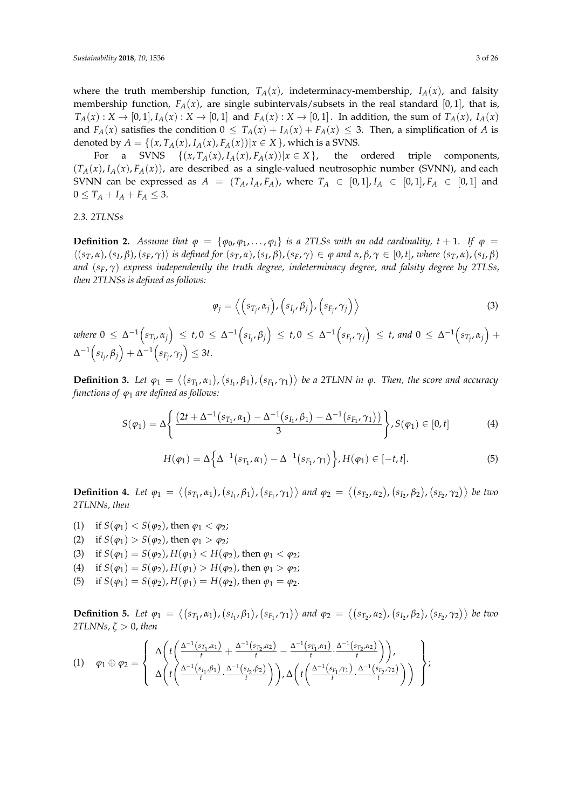where the truth membership function,  $T_A(x)$ , indeterminacy-membership,  $I_A(x)$ , and falsity membership function,  $F_A(x)$ , are single subintervals/subsets in the real standard [0,1], that is,  $T_A(x): X \to [0,1], I_A(x): X \to [0,1]$  and  $F_A(x): X \to [0,1]$ . In addition, the sum of  $T_A(x)$ ,  $I_A(x)$ and  $F_A(x)$  satisfies the condition  $0 \leq T_A(x) + I_A(x) + F_A(x) \leq 3$ . Then, a simplification of *A* is denoted by  $A = \{(x, T_A(x), I_A(x), F_A(x)) | x \in X\}$ , which is a SVNS.

For a SVNS  $\{(x, T_A(x), I_A(x), F_A(x)) | x \in X\}$ , the ordered triple components,  $(T_A(x), I_A(x), F_A(x))$ , are described as a single-valued neutrosophic number (SVNN), and each SVNN can be expressed as  $A = (T_A, I_A, F_A)$ , where  $T_A \in [0,1], I_A \in [0,1], F_A \in [0,1]$  and  $0 \le T_A + I_A + F_A \le 3.$ 

### *2.3. 2TLNSs*

**Definition 2.** *Assume that*  $\varphi = {\varphi_0, \varphi_1, ..., \varphi_t}$  *is a 2TLSs with an odd cardinality, t* + 1. *If*  $\varphi$  =  $\langle (s_T, \alpha), (s_I, \beta), (s_F, \gamma) \rangle$  is defined for  $(s_T, \alpha), (s_I, \beta), (s_F, \gamma) \in \varphi$  and  $\alpha, \beta, \gamma \in [0, t]$ , where  $(s_T, \alpha), (s_I, \beta)$ *and* (*sF*, *γ*) *express independently the truth degree, indeterminacy degree, and falsity degree by 2TLSs, then 2TLNSs is defined as follows:*

$$
\varphi_j = \left\langle \left( s_{T_j}, \alpha_j \right), \left( s_{I_j}, \beta_j \right), \left( s_{F_j}, \gamma_j \right) \right\rangle \tag{3}
$$

where  $0 \leq \Delta^{-1}\Big(s_{T_{j}},\alpha_j\Big) \leq t, 0 \leq \Delta^{-1}\Big(s_{I_{j}},\beta_j\Big) \leq t, 0 \leq \Delta^{-1}\Big(s_{F_{j}},\gamma_j\Big) \leq t,$  and  $0 \leq \Delta^{-1}\Big(s_{T_{j}},\alpha_j\Big) +$  $\Delta^{-1}\Big(s_{I_j},\beta_j\Big)+\Delta^{-1}\Big(s_{F_{j}},\gamma_j\Big)\leq 3t.$ 

**Definition 3.** Let  $\varphi_1 = \langle (s_{T_1}, \alpha_1), (s_{I_1}, \beta_1), (s_{F_1}, \gamma_1) \rangle$  be a 2TLNN in  $\varphi$ . Then, the score and accuracy *functions of ϕ*<sup>1</sup> *are defined as follows:*

$$
S(\varphi_1) = \Delta \left\{ \frac{(2t + \Delta^{-1}(s_{T_1}, \alpha_1) - \Delta^{-1}(s_{I_1}, \beta_1) - \Delta^{-1}(s_{F_1}, \gamma_1))}{3} \right\}, S(\varphi_1) \in [0, t]
$$
(4)

$$
H(\varphi_1) = \Delta \left\{ \Delta^{-1} (s_{T_1}, \alpha_1) - \Delta^{-1} (s_{F_1}, \gamma_1) \right\}, H(\varphi_1) \in [-t, t]. \tag{5}
$$

**Definition 4.** Let  $\varphi_1 = \langle (s_{T_1}, \alpha_1), (s_{I_1}, \beta_1), (s_{F_1}, \gamma_1) \rangle$  and  $\varphi_2 = \langle (s_{T_2}, \alpha_2), (s_{I_2}, \beta_2), (s_{F_2}, \gamma_2) \rangle$  be two *2TLNNs, then*

- (1) if  $S(\varphi_1) < S(\varphi_2)$ , then  $\varphi_1 < \varphi_2$ ;
- (2) if  $S(\varphi_1) > S(\varphi_2)$ , then  $\varphi_1 > \varphi_2$ ;
- (3) if  $S(\varphi_1) = S(\varphi_2)$ ,  $H(\varphi_1) < H(\varphi_2)$ , then  $\varphi_1 < \varphi_2$ ;
- (4) if  $S(\varphi_1) = S(\varphi_2)$ ,  $H(\varphi_1) > H(\varphi_2)$ , then  $\varphi_1 > \varphi_2$ ;
- (5) if  $S(\varphi_1) = S(\varphi_2)$ ,  $H(\varphi_1) = H(\varphi_2)$ , then  $\varphi_1 = \varphi_2$ .

**Definition 5.** Let  $\varphi_1 = \langle (s_{T_1}, \alpha_1), (s_{I_1}, \beta_1), (s_{F_1}, \gamma_1) \rangle$  and  $\varphi_2 = \langle (s_{T_2}, \alpha_2), (s_{I_2}, \beta_2), (s_{F_2}, \gamma_2) \rangle$  be two *2TLNNs, ζ* > 0, *then*

$$
(1) \quad \varphi_1 \oplus \varphi_2 = \left\{\begin{array}{l} \Delta\left(t\left(\frac{\Delta^{-1}(s_{T_1}, \alpha_1)}{t} + \frac{\Delta^{-1}(s_{T_2}, \alpha_2)}{t} - \frac{\Delta^{-1}(s_{T_1}, \alpha_1)}{t} \cdot \frac{\Delta^{-1}(s_{T_2}, \alpha_2)}{t}\right)\right), \\ \Delta\left(t\left(\frac{\Delta^{-1}(s_{I_1}, \beta_1)}{t} \cdot \frac{\Delta^{-1}(s_{I_2}, \beta_2)}{t}\right)\right), \Delta\left(t\left(\frac{\Delta^{-1}(s_{F_1}, \gamma_1)}{t} \cdot \frac{\Delta^{-1}(s_{F_2}, \gamma_2)}{t}\right)\right)\end{array}\right\};
$$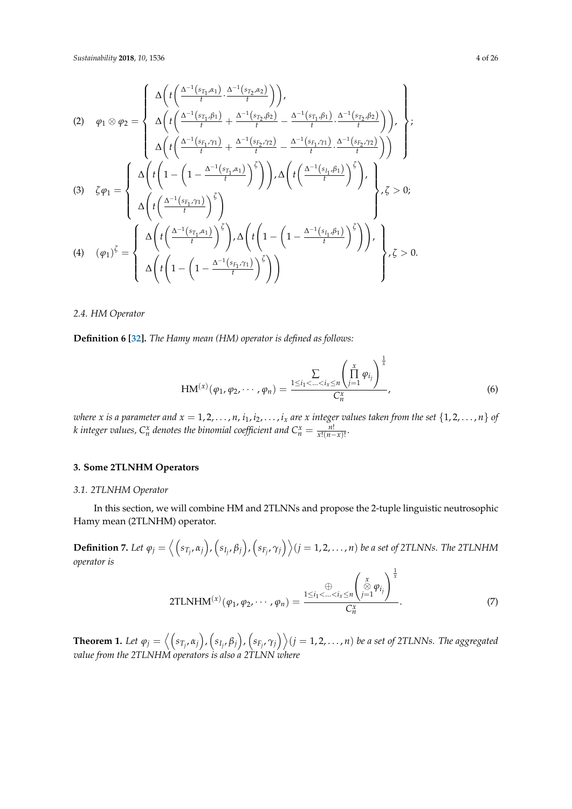$$
(2) \quad \varphi_{1} \otimes \varphi_{2} = \begin{cases} \Delta \left( t \left( \frac{\Delta^{-1}(s_{T_{1}}, \alpha_{1})}{t} \cdot \frac{\Delta^{-1}(s_{T_{2}}, \alpha_{2})}{t} \right) \right), \\ \Delta \left( t \left( \frac{\Delta^{-1}(s_{T_{1}}, \beta_{1})}{t} + \frac{\Delta^{-1}(s_{T_{2}}, \beta_{2})}{t} - \frac{\Delta^{-1}(s_{T_{1}}, \beta_{1})}{t} \cdot \frac{\Delta^{-1}(s_{T_{2}}, \beta_{2})}{t} \right) \right), \\ \Delta \left( t \left( \frac{\Delta^{-1}(s_{F_{1}}, \gamma_{1})}{t} + \frac{\Delta^{-1}(s_{F_{2}}, \gamma_{2})}{t} - \frac{\Delta^{-1}(s_{F_{1}}, \gamma_{1})}{t} \cdot \frac{\Delta^{-1}(s_{F_{2}}, \gamma_{2})}{t} \right) \right) \end{cases} \tag{3}
$$
\n
$$
(3) \quad \zeta \varphi_{1} = \begin{cases} \Delta \left( t \left( 1 - \left( 1 - \frac{\Delta^{-1}(s_{T_{1}}, \alpha_{1})}{t} \right)^{\zeta} \right) \right), \Delta \left( t \left( \frac{\Delta^{-1}(s_{T_{1}}, \beta_{1})}{t} \right)^{\zeta} \right), \\ \Delta \left( t \left( \frac{\Delta^{-1}(s_{F_{1}}, \gamma_{1})}{t} \right)^{\zeta} \right) \end{cases} \end{cases} \tag{4}
$$
\n
$$
(4) \quad (\varphi_{1})^{\zeta} = \begin{cases} \Delta \left( t \left( \frac{\Delta^{-1}(s_{T_{1}}, \alpha_{1})}{t} \right)^{\zeta} \right), \Delta \left( t \left( 1 - \left( 1 - \frac{\Delta^{-1}(s_{T_{1}}, \beta_{1})}{t} \right)^{\zeta} \right) \right), \\ \Delta \left( t \left( 1 - \left( 1 - \frac{\Delta^{-1}(s_{F_{1}}, \gamma_{1})}{t} \right)^{\zeta} \right) \right) \end{cases} \end{cases} \tag{5}
$$

*2.4. HM Operator*

**Definition 6 [\[32\]](#page-24-19).** *The Hamy mean (HM) operator is defined as follows:*

$$
HM^{(x)}(\varphi_1, \varphi_2, \cdots, \varphi_n) = \frac{\sum\limits_{1 \leq i_1 < \ldots < i_x \leq n} \left(\prod\limits_{j=1}^x \varphi_{i_j}\right)^{\frac{1}{x}}}{C_n^x},
$$
\n(6)

where x is a parameter and  $x=1,2,\ldots,n$  ,  $i_1,i_2,\ldots,i_x$  are x integer values taken from the set  $\{1,2,\ldots,n\}$  of *k* integer values,  $C_n^x$  denotes the binomial coefficient and  $C_n^x = \frac{n!}{x!(n-x)!}$ .

# <span id="page-3-0"></span>**3. Some 2TLNHM Operators**

### *3.1. 2TLNHM Operator*

In this section, we will combine HM and 2TLNNs and propose the 2-tuple linguistic neutrosophic Hamy mean (2TLNHM) operator.

**Definition 7.** Let  $\varphi_j=\left\langle \left(s_{T_j},\alpha_j\right),\left(s_{I_j},\beta_j\right),\left(s_{F_j},\gamma_j\right)\right\rangle$   $(j=1,2,\ldots,n)$  be a set of 2TLNNs. The 2TLNHM *operator is*

2TLNHM<sup>(x)</sup>(
$$
\varphi_1, \varphi_2, \cdots, \varphi_n
$$
) = 
$$
\frac{\bigoplus \zeta_i}{C_n^x} \left( \bigotimes \limits_{j=1}^x \varphi_{i_j} \right)^{\frac{1}{x}}.
$$
 (7)

**Theorem 1.** Let  $\varphi_j=\left\langle \left(s_{T_j},\alpha_j\right),\left(s_{I_j},\beta_j\right),\left(s_{F_j},\gamma_j\right)\right\rangle$   $(j=1,2,\ldots,n)$  be a set of 2TLNNs. The aggregated *value from the 2TLNHM operators is also a 2TLNN where*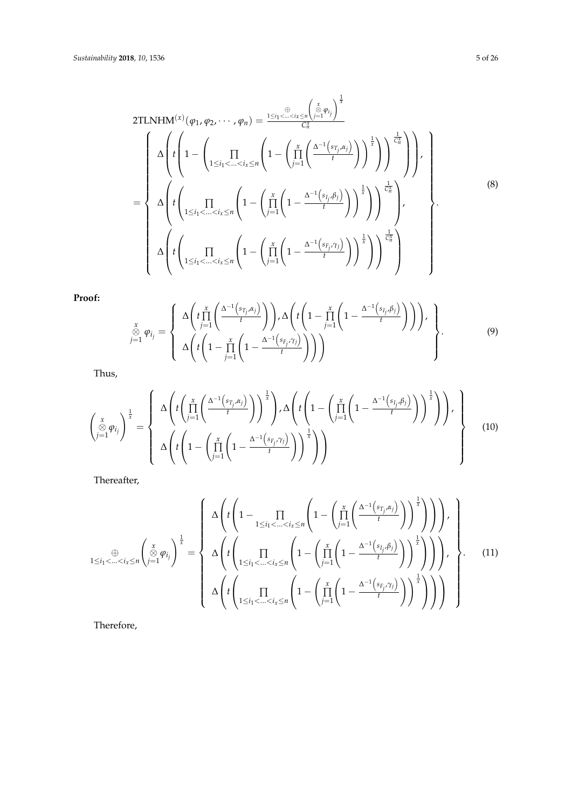2TLNHM<sup>(x)</sup> 
$$
(\varphi_1, \varphi_2, \dots, \varphi_n) = \frac{1 \le i_1 < \dots < i_x \le n} {\binom{x}{\infty} \varphi_i}^{\frac{1}{\infty} \varphi_i}
$$
  
\n
$$
= \begin{cases}\n\Delta \left( t \left( 1 - \left( \prod_{1 \le i_1 < \dots < i_x \le n} \left( 1 - \left( \prod_{j=1}^x \left( \frac{\Delta^{-1} \left( s_{T_j, \alpha_j} \right)}{t} \right) \right)^{\frac{1}{\alpha}} \right) \right)^{\frac{1}{\alpha}} \right) \right), \\
\Delta \left( t \left( \prod_{1 \le i_1 < \dots < i_x \le n} \left( 1 - \left( \prod_{j=1}^x \left( 1 - \frac{\Delta^{-1} \left( s_{I_j, \beta_j} \right)}{t} \right) \right)^{\frac{1}{\alpha}} \right) \right)^{\frac{1}{\alpha}} \right), \\
\Delta \left( t \left( \prod_{1 \le i_1 < \dots < i_x \le n} \left( 1 - \left( \prod_{j=1}^x \left( 1 - \frac{\Delta^{-1} \left( s_{F_j, \gamma_j} \right)}{t} \right) \right)^{\frac{1}{\alpha}} \right) \right)^{\frac{1}{\alpha}} \right)\n\end{cases} (8)
$$

**Proof:**

$$
\sum_{\substack{x \\ y \geq 1}}^x \varphi_{i_j} = \left\{\begin{array}{c} \Delta\left(t \prod_{j=1}^x \left(\frac{\Delta^{-1}\left(s_{T_j}, \alpha_j\right)}{t}\right)\right), \Delta\left(t \left(1 - \prod_{j=1}^x \left(1 - \frac{\Delta^{-1}\left(s_{T_j}, \beta_j\right)}{t}\right)\right)\right), \\ \Delta\left(t \left(1 - \prod_{j=1}^x \left(1 - \frac{\Delta^{-1}\left(s_{F_j}, \gamma_j\right)}{t}\right)\right)\right) \end{array}\right\}.
$$
\n(9)

Thus,

$$
\begin{pmatrix}\n\ddot{x} \\
\frac{\ddot{\otimes}}{j=1}\varphi_{i_j}\n\end{pmatrix}\n\stackrel{1}{\vec{x}} =\n\begin{cases}\n\Delta \left( t \left( \prod_{j=1}^{x} \left( \frac{\Delta^{-1} \left( s_{T_j}, \alpha_j \right)}{t} \right) \right)^{\frac{1}{x}} \right), \Delta \left( t \left( 1 - \left( \prod_{j=1}^{x} \left( 1 - \frac{\Delta^{-1} \left( s_{T_j}, \beta_j \right)}{t} \right) \right)^{\frac{1}{x}} \right) \right), \\
\Delta \left( t \left( 1 - \left( \prod_{j=1}^{x} \left( 1 - \frac{\Delta^{-1} \left( s_{F_j}, \gamma_j \right)}{t} \right) \right)^{\frac{1}{x}} \right) \right)\n\end{cases}
$$
\n(10)

Thereafter,

$$
\sum_{1 \leq i_1 < \ldots < i_x \leq n} \left( \bigotimes_{j=1}^x \varphi_{i_j} \right)^{\frac{1}{x}} = \left\{ \Delta \left( t \left( 1 - \prod_{1 \leq i_1 < \ldots < i_x \leq n} \left( 1 - \left( \prod_{j=1}^x \left( \frac{\Delta^{-1} \left( s_{T_j}, \alpha_j \right)}{t} \right) \right)^{\frac{1}{x}} \right) \right) \right), \quad \Delta \left( t \left( \prod_{1 \leq i_1 < \ldots < i_x \leq n} \left( 1 - \left( \prod_{j=1}^x \left( 1 - \frac{\Delta^{-1} \left( s_{I_j}, \beta_j \right)}{t} \right) \right)^{\frac{1}{x}} \right) \right) \right), \quad \Delta \left( t \left( \prod_{1 \leq i_1 < \ldots < i_x \leq n} \left( 1 - \left( \prod_{j=1}^x \left( 1 - \frac{\Delta^{-1} \left( s_{F_j}, \gamma_j \right)}{t} \right) \right)^{\frac{1}{x}} \right) \right) \right) \right\} \right\}.
$$
\n
$$
(11)
$$

Therefore,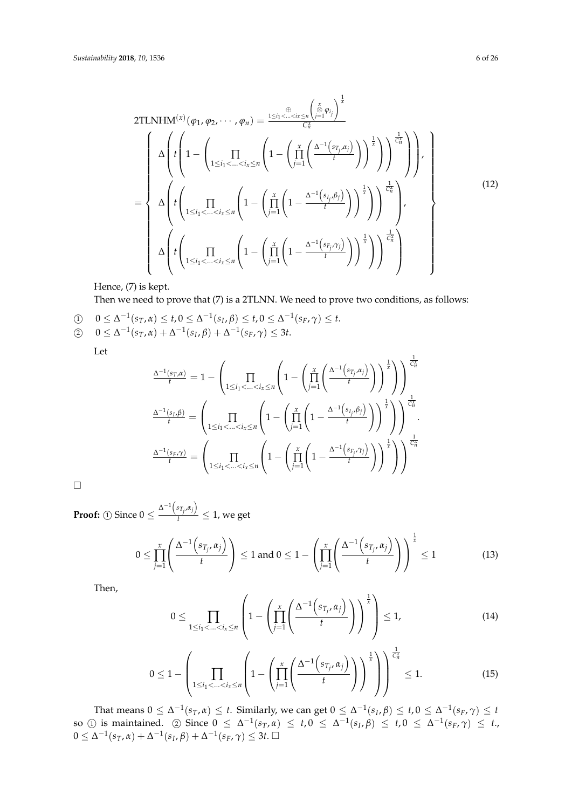2TLNHM<sup>(x)</sup> 
$$
(\varphi_1, \varphi_2, \dots, \varphi_n) = \frac{\sum_{i=1}^{\oplus} \left( \sum_{j=1}^{\infty} \varphi_{i_j} \right)^{\frac{1}{x}}}{C_n^x}
$$
  
\n
$$
= \begin{cases}\n\Delta \left( t \left( 1 - \left( \prod_{1 \leq i_1 < \dots < i_x \leq n} \left( 1 - \left( \prod_{j=1}^x \left( \frac{\Delta^{-1}(s_{T_j, \alpha_j})}{t} \right) \right)^{\frac{1}{x}} \right) \right)^{\frac{1}{x}} \right) \right), \\
\Delta \left( t \left( \prod_{1 \leq i_1 < \dots < i_x \leq n} \left( 1 - \left( \prod_{j=1}^x \left( 1 - \frac{\Delta^{-1}(s_{i_j, \beta_j})}{t} \right) \right)^{\frac{1}{x}} \right) \right)^{\frac{1}{x}} \right), \\
\Delta \left( t \left( \prod_{1 \leq i_1 < \dots < i_x \leq n} \left( 1 - \left( \prod_{j=1}^x \left( 1 - \frac{\Delta^{-1}(s_{F_j, \gamma_j})}{t} \right) \right)^{\frac{1}{x}} \right) \right)^{\frac{1}{x}} \right)\n\end{cases}
$$
\n(12)

## Hence, (7) is kept.

Then we need to prove that (7) is a 2TLNN. We need to prove two conditions, as follows:

 $0 \leq \Delta^{-1}(s_T, \alpha) \leq t, 0 \leq \Delta^{-1}(s_I, \beta) \leq t, 0 \leq \Delta^{-1}(s_F, \gamma) \leq t.$ 

$$
\textcircled{2} \quad 0 \leq \Delta^{-1}(s_T, \alpha) + \Delta^{-1}(s_I, \beta) + \Delta^{-1}(s_F, \gamma) \leq 3t.
$$

Let

$$
\frac{\Delta^{-1}(s_{T}, \alpha)}{t} = 1 - \left(\prod_{1 \leq i_1 < \ldots < i_x \leq n} \left(1 - \left(\prod_{j=1}^x \left(\frac{\Delta^{-1}(s_{T_j}, \alpha_j)}{t}\right)\right)^{\frac{1}{x}}\right)\right)^{\frac{1}{\zeta_n^x}}
$$
\n
$$
\frac{\Delta^{-1}(s_{I}, \beta)}{t} = \left(\prod_{1 \leq i_1 < \ldots < i_x \leq n} \left(1 - \left(\prod_{j=1}^x \left(1 - \frac{\Delta^{-1}(s_{I_j}, \beta_j)}{t}\right)\right)^{\frac{1}{x}}\right)\right)^{\frac{1}{\zeta_n^x}}
$$
\n
$$
\frac{\Delta^{-1}(s_{F}, \gamma)}{t} = \left(\prod_{1 \leq i_1 < \ldots < i_x \leq n} \left(1 - \left(\prod_{j=1}^x \left(1 - \frac{\Delta^{-1}(s_{F_j}, \gamma_j)}{t}\right)\right)^{\frac{1}{x}}\right)\right)^{\frac{1}{\zeta_n^x}}
$$

 $\Box$ 

**Proof:** ① Since  $0 \leq \frac{\Delta^{-1}(s_{T_j}, \alpha_j)}{t}$  $\frac{T_i^{T_i}}{t} \leq 1$ , we get

$$
0 \leq \prod_{j=1}^x \left( \frac{\Delta^{-1} \left( s_{T_j}, \alpha_j \right)}{t} \right) \leq 1 \text{ and } 0 \leq 1 - \left( \prod_{j=1}^x \left( \frac{\Delta^{-1} \left( s_{T_j}, \alpha_j \right)}{t} \right) \right)^{\frac{1}{x}} \leq 1 \tag{13}
$$

Then,

$$
0 \leq \prod_{1 \leq i_1 < \ldots < i_x \leq n} \left( 1 - \left( \prod_{j=1}^x \left( \frac{\Delta^{-1} \left( s_{T_j}, \alpha_j \right)}{t} \right) \right)^{\frac{1}{x}} \right) \leq 1, \tag{14}
$$

$$
0 \leq 1 - \left( \prod_{1 \leq i_1 < \ldots < i_x \leq n} \left( 1 - \left( \prod_{j=1}^x \left( \frac{\Delta^{-1} \left( s_{T_j}, \alpha_j \right)}{t} \right) \right)^{\frac{1}{x}} \right) \right)^{\frac{1}{C_n^x}} \leq 1. \tag{15}
$$

That means  $0 \le \Delta^{-1}(s_T, \alpha) \le t$ . Similarly, we can get  $0 \le \Delta^{-1}(s_I, \beta) \le t, 0 \le \Delta^{-1}(s_F, \gamma) \le t$  $\text{so } (1) \text{ is maintained.}$  (2) Since  $0 \leq \Delta^{-1}(s_T, \alpha) \leq t, 0 \leq \Delta^{-1}(s_I, \beta) \leq t, 0 \leq \Delta^{-1}(s_F, \gamma) \leq t$ .  $0 ≤ Δ^{-1}(s_T, α) + Δ^{-1}(s_I, β) + Δ^{-1}(s_F, γ) ≤ 3t. □$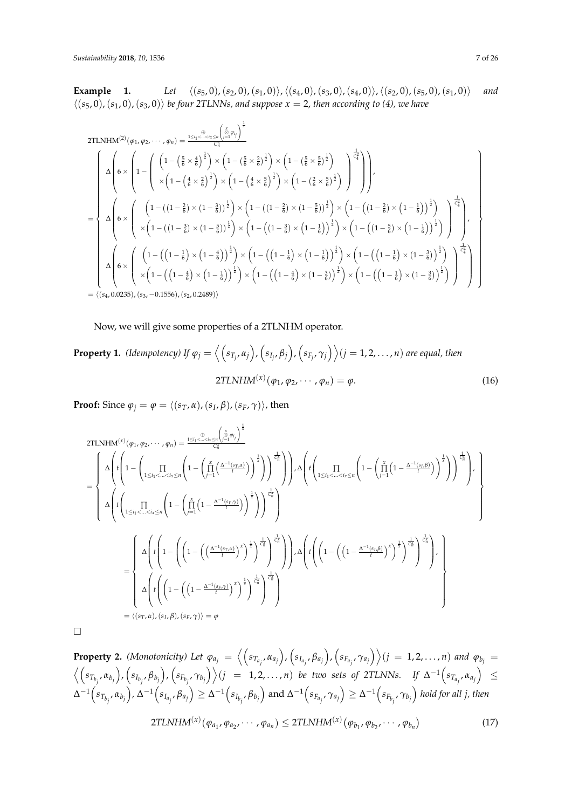**Example 1.** *Let*  $\langle (s_5, 0), (s_2, 0), (s_1, 0) \rangle$ ,  $\langle (s_4, 0), (s_3, 0), (s_4, 0) \rangle$ ,  $\langle (s_2, 0), (s_5, 0), (s_1, 0) \rangle$  *and*  $\langle (s_5, 0), (s_1, 0), (s_3, 0) \rangle$  *be four 2TLNNs, and suppose x = 2, then according to (4), we have* 

2TLNHM<sup>(2)</sup>(
$$
\varphi_1, \varphi_2, \dots, \varphi_n
$$
) =  $\frac{1 \leq i_1 \leq \dots \leq i_s \leq n}{C_n^2}$   
\n2TLNHM<sup>(2)</sup>( $\varphi_1, \varphi_2, \dots, \varphi_n$ ) =  $\frac{1 \leq i_1 \leq \dots \leq i_s \leq n}{C_n^2}$   
\n
$$
\Delta \left( 6 \times \left( 1 - \left( \frac{5}{6} \times \frac{2}{6} \right)^{\frac{1}{2}} \right) \times \left( 1 - \left( \frac{5}{6} \times \frac{2}{6} \right)^{\frac{1}{2}} \right) \times \left( 1 - \left( \frac{2}{6} \times \frac{5}{6} \right)^{\frac{1}{2}} \right) \right) \right)
$$
\n
$$
= \begin{cases}\n\Delta \left( 6 \times \left( \left( 1 - ((1 - \frac{2}{6}) \times (1 - \frac{3}{6}))^{\frac{1}{2}} \right) \times \left( 1 - ((1 - \frac{2}{6}) \times (1 - \frac{5}{6}))^{\frac{1}{2}} \right) \times \left( 1 - ((1 - \frac{2}{6}) \times (1 - \frac{5}{6}))^{\frac{1}{2}} \right) \times \left( 1 - ((1 - \frac{2}{6}) \times (1 - \frac{1}{6}))^{\frac{1}{2}} \right) \right) \right) \\
\Delta \left( 6 \times \left( \left( 1 - ((1 - \frac{3}{6}) \times (1 - \frac{5}{6}))^{\frac{1}{2}} \right) \times \left( 1 - ((1 - \frac{3}{6}) \times (1 - \frac{1}{6}))^{\frac{1}{2}} \right) \times \left( 1 - ((1 - \frac{5}{6}) \times (1 - \frac{1}{6}))^{\frac{1}{2}} \right) \right) \right)\n\end{cases}
$$
\n
$$
\Delta \left( 6 \times \left( \left( 1 - ((1 - \frac{1}{6}) \times (1 - \frac{4}{6}))^{\frac{1}{2}} \right) \times \left( 1 - ((1 - \frac{1}{6}) \times (1 - \frac{1}{6}))^{\frac{1}{2}} \right) \times \left( 1 - ((1 - \frac{1}{6}) \times (1 - \frac{3}{6}))^{\frac{1}{2}} \
$$

Now, we will give some properties of a 2TLNHM operator.

# **Property 1.** (Idempotency) If  $\varphi_j=\left\langle \left(s_{T_j},\alpha_j\right),\left(s_{I_j},\beta_j\right),\left(s_{F_j},\gamma_j\right)\right\rangle (j=1,2,\ldots,n)$  are equal, then  $2TLNHM^{(x)}(\varphi_1, \varphi_2, \cdots, \varphi_n) = \varphi.$  (16)

**Proof:** Since  $\varphi_j = \varphi = \langle (s_T, \alpha), (s_I, \beta), (s_F, \gamma) \rangle$ , then

2TLNHM<sup>(x)</sup> 
$$
(\varphi_1, \varphi_2, \dots, \varphi_n) = \frac{1 \le i_1 \le \dots \le i_k \le n}{{\binom{x}{2} \over \binom{x}{2}}}^{\frac{1}{2}}
$$
  
\n
$$
= \begin{cases}\n\Delta \left( t \left( 1 - \left( \prod_{1 \le i_1 < \dots < i_k \le n} \left( 1 - \left( \prod_{j=1}^x \left( \frac{\Delta^{-1}(s_j, \beta_j)}{t} \right)^{\frac{1}{s}} \right) \right) \right)^{\frac{1}{s}} \right) \right) \Delta \left( t \left( \prod_{1 \le i_1 < \dots < i_k \le n} \left( 1 - \left( \prod_{j=1}^x \left( 1 - \frac{\Delta^{-1}(s_j, \beta)}{t} \right) \right)^{\frac{1}{s}} \right) \right) \right)^{\frac{1}{s}} \right)\n\end{cases}
$$
\n
$$
= \begin{cases}\n\Delta \left( t \left( \prod_{1 \le i_1 < \dots < i_k \le n} \left( 1 - \left( \prod_{j=1}^x \left( 1 - \frac{\Delta^{-1}(s_j, \beta)}{t} \right)^{\frac{1}{s}} \right) \right)^{\frac{1}{s}} \right)\n\end{cases}
$$
\n
$$
= \begin{cases}\n\Delta \left( t \left( 1 - \left( \left( \left( 1 - \frac{\Delta^{-1}(s_j, \beta)}{t} \right)^{\frac{1}{s}} \right)^{\frac{1}{s}} \right)^{\frac{1}{s}} \right) \right) \Delta \left( t \left( \left( 1 - \left( \left( 1 - \frac{\Delta^{-1}(s_j, \beta)}{t} \right)^{\frac{1}{s}} \right)^{\frac{1}{s}} \right)^{\frac{1}{s}} \right) \right), \Delta \left( t \left( \left( 1 - \left( \left( 1 - \frac{\Delta^{-1}(s_j, \beta)}{t} \right)^{\frac{1}{s}} \right)^{\frac{1}{s}} \right) \right), \Delta \left( t \left( \left( 1 - \left( \left( 1 - \frac{\Delta^{-1}(s_j, \beta)}{t} \right)^{\frac{1}{s}} \right)^{\frac{1}{s}} \right) \right) \right)\n\end{cases}
$$
\n
$$
= \left\{ (s_T, \alpha), (s_I, \beta), (s_F
$$

 $\Box$ 

**Property 2.** (Monotonicity) Let  $\varphi_{a_j} = \left\langle \left(s_{T_{a_j}}, \alpha_{a_j}\right), \left(s_{I_{a_j}}, \beta_{a_j}\right), \left(s_{F_{a_j}}, \gamma_{a_j}\right) \right\rangle (j = 1, 2, ..., n)$  and  $\varphi_{b_j} =$  $\Big\langle \Big(s_{T_{b_j}}, \alpha_{b_j}\Big), \Big(s_{I_{b_j}}, \beta_{b_j}\Big), \Big(s_{F_{b_j}}, \gamma_{b_j}\Big) \Big\rangle (j\;\;=\;\;1,2,\ldots,n) \;\; be \;\; two \;\; sets \;\; of \;\; 2TLNNs. \quad\; If \;\; \Delta^{-1}\Big(s_{T_{a_j}}, \alpha_{a_j}\Big) \;\; \leq$  $\Delta^{-1}\Big(s_{T_{b_j}},\alpha_{b_j}\Big)$ ,  $\Delta^{-1}\Big(s_{I_{a_j}},\beta_{a_j}\Big)\geq \Delta^{-1}\Big(s_{I_{b_j}},\beta_{b_j}\Big)$  and  $\Delta^{-1}\Big(s_{F_{a_j}},\gamma_{a_j}\Big)\geq \Delta^{-1}\Big(s_{F_{b_j}},\gamma_{b_j}\Big)$  hold for all j, then  $2TLNHM^{(x)}(\varphi_{a_1}, \varphi_{a_2}, \cdots, \varphi_{a_n}) \leq 2TLNHM^{(x)}(\varphi_{b_1}, \varphi_{b_2}, \cdots, \varphi_{b_n})$ (17)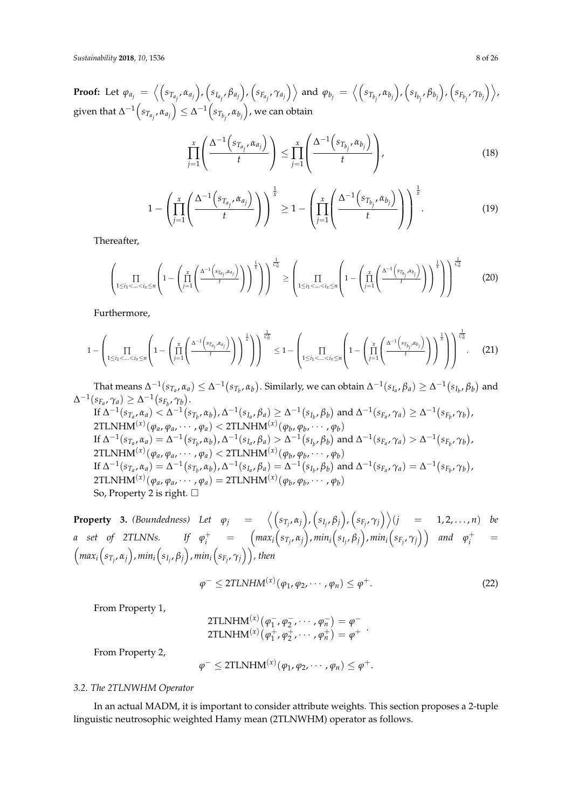**Proof:** Let  $\varphi_{a_j} = \left\langle \left( s_{T_{a_j}}, \alpha_{a_j} \right), \left( s_{I_{a_j}}, \beta_{a_j} \right), \left( s_{F_{a_j}}, \gamma_{a_j} \right) \right\rangle$  and  $\varphi_{b_j} = \left\langle \left( s_{T_{b_j}}, \alpha_{b_j} \right), \left( s_{I_{b_j}}, \beta_{b_j} \right), \left( s_{F_{b_j}}, \gamma_{b_j} \right) \right\rangle$  $\text{given that } \Delta^{-1}\Big(s_{T_{a_j}}, \alpha_{a_j}\Big) \leq \Delta^{-1}\Big(s_{T_{b_j}}, \alpha_{b_j}\Big)$ , we can obtain

$$
\prod_{j=1}^x \left( \frac{\Delta^{-1} \left( s_{T_{a_j}}, \alpha_{a_j} \right)}{t} \right) \leq \prod_{j=1}^x \left( \frac{\Delta^{-1} \left( s_{T_{b_j}}, \alpha_{b_j} \right)}{t} \right), \tag{18}
$$

$$
1 - \left(\prod_{j=1}^x \left(\frac{\Delta^{-1}\left(s_{T_{a_j}}, \alpha_{a_j}\right)}{t}\right)\right)^{\frac{1}{x}} \ge 1 - \left(\prod_{j=1}^x \left(\frac{\Delta^{-1}\left(s_{T_{b_j}}, \alpha_{b_j}\right)}{t}\right)\right)^{\frac{1}{x}}.\tag{19}
$$

Thereafter,

$$
\left(\prod_{1\leq i_1<\ldots
$$

Furthermore,

$$
1 - \left(\prod_{1 \leq i_1 < \ldots < i_x \leq n} \left(1 - \left(\prod_{j=1}^x \left(\frac{\Delta^{-1}\left(s_{T_{a_j}, \alpha_{a_j}}\right)}{t}\right)\right)^{\frac{1}{x}}\right)\right)^{\frac{1}{\alpha_n^x}} \leq 1 - \left(\prod_{1 \leq i_1 < \ldots < i_x \leq n} \left(1 - \left(\prod_{j=1}^x \left(\frac{\Delta^{-1}\left(s_{T_{b_j}, \alpha_{b_j}}\right)}{t}\right)\right)^{\frac{1}{x}}\right)\right)^{\frac{1}{\alpha_n^x}}.
$$
 (21)

That means  $\Delta^{-1}(s_{T_a},\alpha_a)\leq \Delta^{-1}\big(s_{T_b},\alpha_b\big).$  Similarly, we can obtain  $\Delta^{-1}(s_{I_a},\beta_a)\geq \Delta^{-1}\big(s_{I_b},\beta_b\big)$  and  $\Delta^{-1}(s_{F_a}, \gamma_a) \geq \Delta^{-1}(s_{F_b}, \gamma_b).$ If  $\Delta^{-1}(s_{T_a},\alpha_a)<\Delta^{-1}(s_{T_b},\alpha_b)$  ,  $\Delta^{-1}(s_{I_a},\beta_a)\geq \Delta^{-1}(s_{I_b},\beta_b)$  and  $\Delta^{-1}(s_{F_a},\gamma_a)\geq \Delta^{-1}(s_{F_b},\gamma_b)$  ,  $2 \text{TLNHM}^{(x)}(\varphi_a, \varphi_a, \cdots, \varphi_a) < 2 \text{TLNHM}^{(x)}(\varphi_b, \varphi_b, \cdots, \varphi_b)$ If  $\Delta^{-1}(s_{T_a}, \alpha_a) = \Delta^{-1}(s_{T_b}, \alpha_b)$ ,  $\Delta^{-1}(s_{I_a}, \beta_a) > \Delta^{-1}(s_{I_b}, \beta_b)$  and  $\Delta^{-1}(s_{F_a}, \gamma_a) > \Delta^{-1}(s_{F_b}, \gamma_b)$ ,  $2 \text{TLNHM}^{(x)}(\varphi_a, \varphi_a, \cdots, \varphi_a) < 2 \text{TLNHM}^{(x)}(\varphi_b, \varphi_b, \cdots, \varphi_b)$ If  $\Delta^{-1}(s_{T_a}, \alpha_a) = \Delta^{-1}(s_{T_b}, \alpha_b)$ ,  $\Delta^{-1}(s_{I_a}, \beta_a) = \Delta^{-1}(s_{I_b}, \beta_b)$  and  $\Delta^{-1}(s_{F_a}, \gamma_a) = \Delta^{-1}(s_{F_b}, \gamma_b)$ ,  $2TLNHM<sup>(x)</sup>(\varphi_a, \varphi_a, \cdots, \varphi_a) = 2TLNHM<sup>(x)</sup>(\varphi_b, \varphi_b, \cdots, \varphi_b)$ So, Property 2 is right.  $\Box$ 

**Property 3.** (Boundedness) Let  $\varphi_j = \left\langle \left( s_{T_j}, \alpha_j \right), \left( s_{I_j}, \beta_j \right), \left( s_{F_j}, \gamma_j \right) \right\rangle$   $(j = 1, 2, ..., n)$  be a set of 2TLNNs. If  $\varphi^+_i$  =  $\Big({max_i}\Big(s_{T_j},\alpha_j\Big),{min_i}\Big(s_{I_j},\beta_j\Big),{min_i}\Big(s_{F_j},\gamma_j\Big)\Big)$  and  $\varphi^+_i$  =  $\left(\max_i\left(s_{T_j},\alpha_j\right),\min_i\left(s_{I_j},\beta_j\right),\min_i\left(s_{F_j},\gamma_j\right)\right)$ , then

$$
\varphi^{-} \leq 2TLNHM^{(x)}(\varphi_1, \varphi_2, \cdots, \varphi_n) \leq \varphi^{+}.
$$
 (22)

From Property 1,

2TLNHM<sup>(x)</sup>(
$$
\varphi_1^-
$$
,  $\varphi_2^-$ ,  $\cdots$ ,  $\varphi_n^-$ ) =  $\varphi^-$   
2TLNHM<sup>(x)</sup>( $\varphi_1^+$ ,  $\varphi_2^+$ ,  $\cdots$ ,  $\varphi_n^+$ ) =  $\varphi^+$ .

From Property 2,

$$
\varphi^{-} \leq 2\text{TLNHM}^{(x)}(\varphi_1, \varphi_2, \cdots, \varphi_n) \leq \varphi^{+}.
$$

### *3.2. The 2TLNWHM Operator*

In an actual MADM, it is important to consider attribute weights. This section proposes a 2-tuple linguistic neutrosophic weighted Hamy mean (2TLNWHM) operator as follows.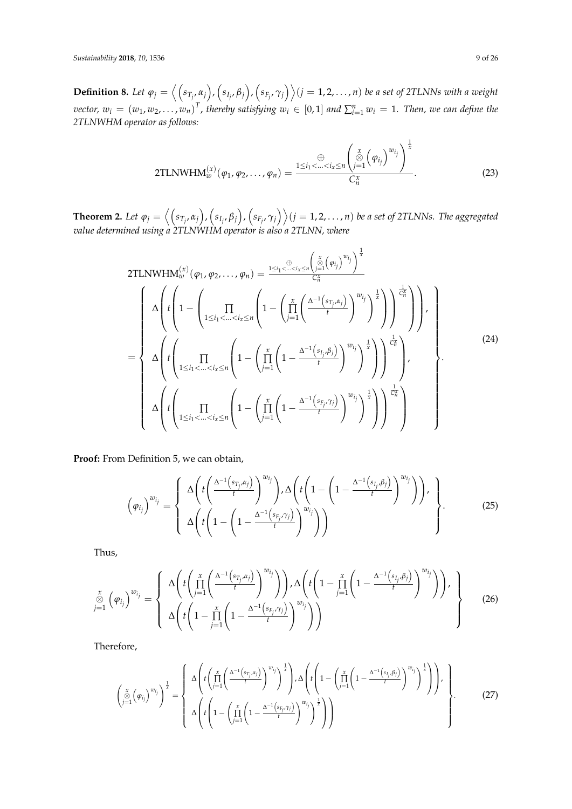**Definition 8.** Let  $\varphi_j=\left\langle \left(s_{T_j},\alpha_j\right),\left(s_{I_j},\beta_j\right),\left(s_{F_j},\gamma_j\right)\right\rangle$   $(j=1,2,\ldots,n)$  be a set of 2TLNNs with a weight vector,  $w_i = (w_1, w_2, ..., w_n)^T$ , thereby satisfying  $w_i \in [0,1]$  and  $\sum_{i=1}^n w_i = 1$ . Then, we can define the *2TLNWHM operator as follows:*

2TLNWHM
$$
\omega_w^{(x)}(\varphi_1, \varphi_2, \dots, \varphi_n) = \frac{\bigoplus \limits_{1 \leq i_1 < \dots < i_x \leq n} \left( \bigotimes \limits_{j=1}^x (\varphi_{i_j})^{w_{i_j}} \right)^{\frac{1}{x}}}{C_n^x}.
$$
 (23)

**Theorem 2.** Let  $\varphi_j=\left\langle \left(s_{T_j},\alpha_j\right),\left(s_{I_j},\beta_j\right),\left(s_{F_j},\gamma_j\right)\right\rangle$   $(j=1,2,\ldots,n)$  be a set of 2TLNNs. The aggregated *value determined using a 2TLNWHM operator is also a 2TLNN, where*

2TLNWHM<sub>uv</sub><sup>(x)</sup> 
$$
(\varphi_1, \varphi_2, ..., \varphi_n)
$$
 =  $\frac{1 \leq i_1 < ... < i_x \leq n} \left( \sum_{j=1}^{\infty} (\varphi_{i_j})^{w_{i_j}} \right)^{\frac{1}{x}}$   
\n
$$
\Delta \left( t \left( 1 - \left( \prod_{1 \leq i_1 < ... < i_x \leq n} \left( 1 - \left( \prod_{j=1}^x \left( \frac{\Delta^{-1} \left( s_{T_j, \alpha_j} \right)}{t} \right)^{w_{i_j}} \right)^{\frac{1}{x}} \right) \right) \right)^{\frac{1}{C_n}} \right) \right),
$$
\n= 
$$
\Delta \left( t \left( \prod_{1 \leq i_1 < ... < i_x \leq n} \left( 1 - \left( \prod_{j=1}^x \left( 1 - \frac{\Delta^{-1} \left( s_{i_j, \beta_j} \right)}{t} \right)^{w_{i_j}} \right)^{\frac{1}{x}} \right) \right)^{\frac{1}{C_n}} \right),
$$
\n
$$
\Delta \left( t \left( \prod_{1 \leq i_1 < ... < i_x \leq n} \left( 1 - \left( \prod_{j=1}^x \left( 1 - \frac{\Delta^{-1} \left( s_{F_j, \gamma_j} \right)}{t} \right)^{w_{i_j}} \right)^{\frac{1}{x}} \right) \right)^{\frac{1}{C_n}} \right),
$$
\n(24)

**Proof:** From Definition 5, we can obtain,

$$
\left(\varphi_{i_j}\right)^{w_{i_j}} = \left\{\begin{array}{l} \Delta\left(t\left(\frac{\Delta^{-1}\left(s_{T_j}, \alpha_j\right)}{t}\right)^{w_{i_j}}\right), \Delta\left(t\left(1-\left(1-\frac{\Delta^{-1}\left(s_{I_j}, \beta_j\right)}{t}\right)^{w_{i_j}}\right)\right), \\ \Delta\left(t\left(1-\left(1-\frac{\Delta^{-1}\left(s_{F_j}, \gamma_j\right)}{t}\right)^{w_{i_j}}\right)\right) \end{array}\right\}.
$$
\n(25)

Thus,

$$
\sum_{j=1}^{x} \left(\varphi_{i_{j}}\right)^{w_{i_{j}}} = \left\{\begin{array}{c} \Delta\left(t\left(\prod_{j=1}^{x} \left(\frac{\Delta^{-1}\left(s_{T_{j}}, \alpha_{j}\right)}{t}\right)^{w_{i_{j}}}\right)\right), \Delta\left(t\left(1-\prod_{j=1}^{x} \left(1-\frac{\Delta^{-1}\left(s_{T_{j}}, \beta_{j}\right)}{t}\right)^{w_{i_{j}}}\right)\right), \\ \Delta\left(t\left(1-\prod_{j=1}^{x} \left(1-\frac{\Delta^{-1}\left(s_{F_{j}}, \gamma_{j}\right)}{t}\right)^{w_{i_{j}}}\right)\right) \end{array}\right\} \tag{26}
$$

Therefore,

$$
\begin{pmatrix}\n\frac{x}{\sqrt{3}}\left(\varphi_{i}\right)^{w_{i_{j}}}\n\end{pmatrix}^{\frac{1}{x}} = \begin{cases}\n\Delta \left(t \left(\prod_{j=1}^{x} \left(\frac{\Delta^{-1}\left(s_{T_{j}}\alpha_{j}\right)}{t}\right)^{w_{i_{j}}}\right)^{\frac{1}{x}}\right), \Delta \left(t \left(1 - \left(\prod_{j=1}^{x} \left(1 - \frac{\Delta^{-1}\left(s_{T_{j}}\beta_{j}\right)}{t}\right)^{w_{i_{j}}}\right)^{\frac{1}{x}}\right)\right), \\
\Delta \left(t \left(1 - \left(\prod_{j=1}^{x} \left(1 - \frac{\Delta^{-1}\left(s_{F_{j}}\gamma_{j}\right)}{t}\right)^{w_{i_{j}}}\right)^{\frac{1}{x}}\right)\right)\n\end{cases}
$$
\n(27)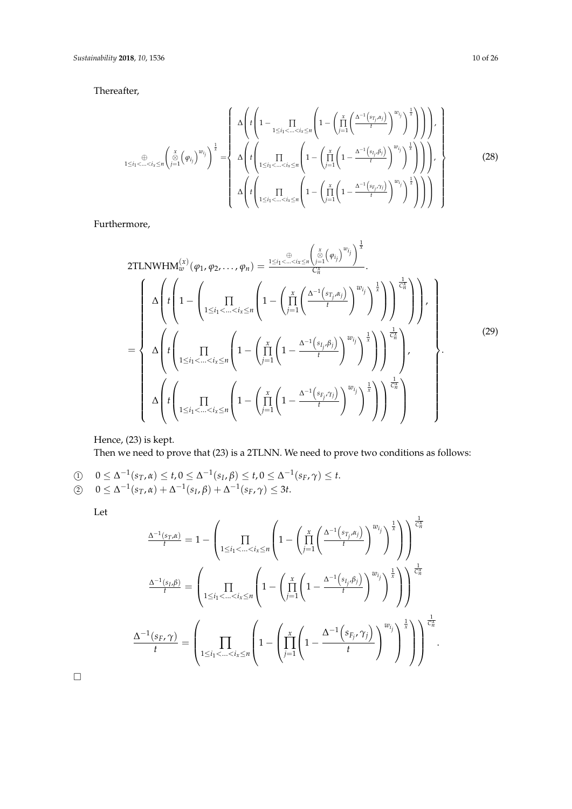Thereafter,

$$
\sum_{1 \leq i_1 < \ldots < i_x \leq n} \left( \sum_{j=1}^x \left( \varphi_{i_j} \right)^{w_{i_j}} \right)^{\frac{1}{x}} = \left\{ \Delta \left( t \left( 1 - \prod_{1 \leq i_1 < \ldots < i_x \leq n} \left( 1 - \left( \prod_{j=1}^x \left( \frac{\Delta^{-1} \left( s_{T_j, \alpha_j} \right)}{t} \right)^{w_{i_j}} \right)^{\frac{1}{x}} \right) \right) \right), \newline \Delta \left( t \left( \prod_{1 \leq i_1 < \ldots < i_x \leq n} \left( 1 - \left( \prod_{j=1}^x \left( 1 - \frac{\Delta^{-1} \left( s_{I_j, \beta_j} \right)}{t} \right)^{w_{i_j}} \right)^{\frac{1}{x}} \right) \right) \right), \newline \Delta \left( t \left( \prod_{1 \leq i_1 < \ldots < i_x \leq n} \left( 1 - \left( \prod_{j=1}^x \left( 1 - \frac{\Delta^{-1} \left( s_{F_j, \gamma_j} \right)}{t} \right)^{w_{i_j}} \right)^{\frac{1}{x}} \right) \right) \right) \right\} \right\} \tag{28}
$$

Furthermore,

2TLNWHM<sub>uv</sub><sup>(x)</sup> 
$$
(\varphi_1, \varphi_2, ..., \varphi_n)
$$
 =  $\frac{1 \leq i_1 < ... < i_x \leq n} \left( \sum_{j=1}^{\infty} (\varphi_{i_j})^{w_{i_j}} \right)^{\frac{1}{x}}$   
\n
$$
= \begin{cases}\n\Delta \left( t \left( 1 - \left( \prod_{1 \leq i_1 < ... < i_x \leq n} \left( 1 - \left( \prod_{j=1}^x \left( \frac{\Delta^{-1} (s_{T_j, \alpha_j})}{t} \right)^{w_{i_j}} \right)^{\frac{1}{x}} \right) \right) \right)^{\frac{1}{C_n^x}} \right) \right), \\
\Delta \left( t \left( \prod_{1 \leq i_1 < ... < i_x \leq n} \left( 1 - \left( \prod_{j=1}^x \left( 1 - \frac{\Delta^{-1} (s_{i_j, \beta_j})}{t} \right)^{w_{i_j}} \right)^{\frac{1}{x}} \right) \right)^{\frac{1}{C_n^x}} \right), \\
\Delta \left( t \left( \prod_{1 \leq i_1 < ... < i_x \leq n} \left( 1 - \left( \prod_{j=1}^x \left( 1 - \frac{\Delta^{-1} (s_{F_j, \gamma_j})}{t} \right)^{w_{i_j}} \right)^{\frac{1}{x}} \right) \right)^{\frac{1}{C_n^x}} \right)\n\end{cases} (29)
$$

Hence, (23) is kept. Then we need to prove that (23) is a 2TLNN. We need to prove two conditions as follows:

 $0 \leq \Delta^{-1}(s_T, \alpha) \leq t, 0 \leq \Delta^{-1}(s_I, \beta) \leq t, 0 \leq \Delta^{-1}(s_F, \gamma) \leq t.$  $(2)$   $0 \leq \Delta^{-1}(s_T, \alpha) + \Delta^{-1}(s_I, \beta) + \Delta^{-1}(s_F, \gamma) \leq 3t.$ 

Let

$$
\frac{\Delta^{-1}(s_{T}, \alpha)}{t} = 1 - \left( \prod_{1 \leq i_1 < \ldots < i_x \leq n} \left( 1 - \left( \prod_{j=1}^x \left( \frac{\Delta^{-1}(s_{T_j}, \alpha_j)}{t} \right)^{w_{i_j}} \right)^{\frac{1}{x}} \right) \right) \frac{\frac{1}{C_n^x}}{t}
$$
\n
$$
\frac{\Delta^{-1}(s_{I}, \beta)}{t} = \left( \prod_{1 \leq i_1 < \ldots < i_x \leq n} \left( 1 - \left( \prod_{j=1}^x \left( 1 - \frac{\Delta^{-1}(s_{I_j}, \beta_j)}{t} \right)^{w_{i_j}} \right)^{\frac{1}{x}} \right) \right) \frac{\frac{1}{C_n^x}}{t}
$$
\n
$$
\frac{\Delta^{-1}(s_{F}, \gamma)}{t} = \left( \prod_{1 \leq i_1 < \ldots < i_x \leq n} \left( 1 - \left( \prod_{j=1}^x \left( 1 - \frac{\Delta^{-1}(s_{F_j}, \gamma_j)}{t} \right)^{w_{i_j}} \right)^{\frac{1}{x}} \right) \right)^{\frac{1}{C_n^x}}
$$

 $\Box$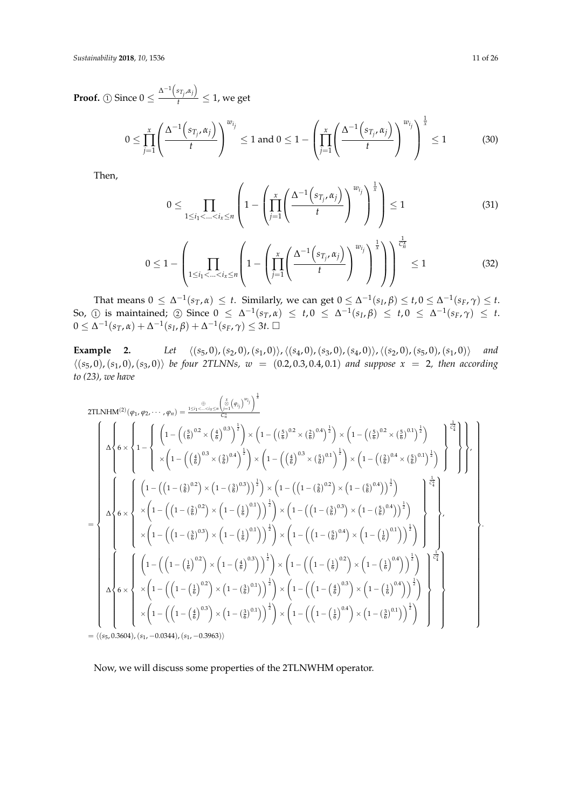**Proof.** (1) Since  $0 \leq \frac{\Delta^{-1}(s_{T_j}, \alpha_j)}{t}$  $\frac{T_i^{T_i}}{t} \leq 1$ , we get

$$
0 \leq \prod_{j=1}^x \left( \frac{\Delta^{-1} \left( s_{T_j}, \alpha_j \right)}{t} \right)^{w_{i_j}} \leq 1 \text{ and } 0 \leq 1 - \left( \prod_{j=1}^x \left( \frac{\Delta^{-1} \left( s_{T_j}, \alpha_j \right)}{t} \right)^{w_{i_j}} \right)^{\frac{1}{x}} \leq 1 \quad (30)
$$

Then,

$$
0 \leq \prod_{1 \leq i_1 < \ldots < i_x \leq n} \left( 1 - \left( \prod_{j=1}^x \left( \frac{\Delta^{-1} \left( s_{T_j}, \alpha_j \right)}{t} \right)^{w_{i_j}} \right)^{\frac{1}{x}} \right) \leq 1 \tag{31}
$$

$$
0 \leq 1 - \left(\prod_{1 \leq i_1 < \ldots < i_x \leq n} \left(1 - \left(\prod_{j=1}^x \left(\frac{\Delta^{-1}\left(s_{T_j}, \alpha_j\right)}{t}\right)^{w_{i_j}}\right)^{\frac{1}{x}}\right)\right)^{\frac{1}{C_n^x}} \leq 1\tag{32}
$$

That means  $0 \leq \Delta^{-1}(s_T, \alpha) \leq t$ . Similarly, we can get  $0 \leq \Delta^{-1}(s_I, \beta) \leq t, 0 \leq \Delta^{-1}(s_F, \gamma) \leq t$ . So, ① is maintained; ② Since  $0 ≤ Δ^{-1}(s_T, α) ≤ t, 0 ≤ Δ^{-1}(s_I, β) ≤ t, 0 ≤ Δ^{-1}(s_F, γ) ≤ t$ .  $0 ≤ Δ^{-1}(s_T, α) + Δ^{-1}(s_I, β) + Δ^{-1}(s_F, γ) ≤ 3t. □$ 

**Example** 2. *Let*  $\langle (s_5, 0), (s_2, 0), (s_1, 0) \rangle$ ,  $\langle (s_4, 0), (s_3, 0), (s_4, 0) \rangle$ ,  $\langle (s_2, 0), (s_5, 0), (s_1, 0) \rangle$  *and*  $\langle (s_5, 0), (s_1, 0), (s_3, 0) \rangle$  *be four 2TLNNs,*  $w = (0.2, 0.3, 0.4, 0.1)$  *and suppose*  $x = 2$ *, then according to (23), we have*

2TLNHM<sup>(2)</sup>(
$$
\varphi_1, \varphi_2, \dots, \varphi_n
$$
) =  $\frac{1 \le i_1 < \dots < i_n \le n}{C_n^{\frac{(\beta)}{2}} \left( \frac{1}{2} \left( 1 - \left( \left( \frac{5}{6} \right)^{0.2} \times \left( \frac{4}{6} \right)^{0.3} \right)^{\frac{1}{2}} \right) \times \left( 1 - \left( \left( \frac{5}{6} \right)^{0.2} \times \left( \frac{2}{6} \right)^{0.4} \right)^{\frac{1}{2}} \right) \times \left( 1 - \left( \left( \frac{5}{6} \right)^{0.2} \times \left( \frac{2}{6} \right)^{0.1} \right)^{\frac{1}{2}} \right) \times \left( 1 - \left( \left( \frac{5}{6} \right)^{0.2} \times \left( \frac{5}{6} \right)^{0.1} \right)^{\frac{1}{2}} \right) \times \left( 1 - \left( \left( \frac{5}{6} \right)^{0.2} \times \left( \frac{5}{6} \right)^{0.1} \right)^{\frac{1}{2}} \right) \times \left( 1 - \left( \left( \frac{5}{6} \right)^{0.2} \times \left( \frac{5}{6} \right)^{0.1} \right)^{\frac{1}{2}} \right) \times \left( 1 - \left( \left( \frac{5}{6} \right)^{0.2} \times \left( \frac{5}{6} \right)^{0.1} \right)^{\frac{1}{2}} \right) \times \left( 1 - \left( \left( 1 - \left( \frac{2}{6} \right)^{0.2} \right) \times \left( 1 - \left( \left( 1 - \left( \frac{2}{6} \right)^{0.2} \right) \times \left( 1 - \left( \left( 1 - \left( \frac{2}{6} \right)^{0.2} \right) \times \left( 1 - \left( \left( 1 - \left( \frac{2}{6} \right)^{0.3} \right) \times \left( 1 - \left( \left( 1 - \left( \frac{2}{6} \right)^{0.3} \right) \times \left( 1 - \left( \left( 1 - \left( \frac{2}{6} \right)^{0.4} \right) \times \left( 1 - \left( \left( 1 - \left( \frac{2}{6$ 

= h(*s*5, 0.3604),(*s*1, −0.0344),(*s*1, −0.3963)i

Now, we will discuss some properties of the 2TLNWHM operator.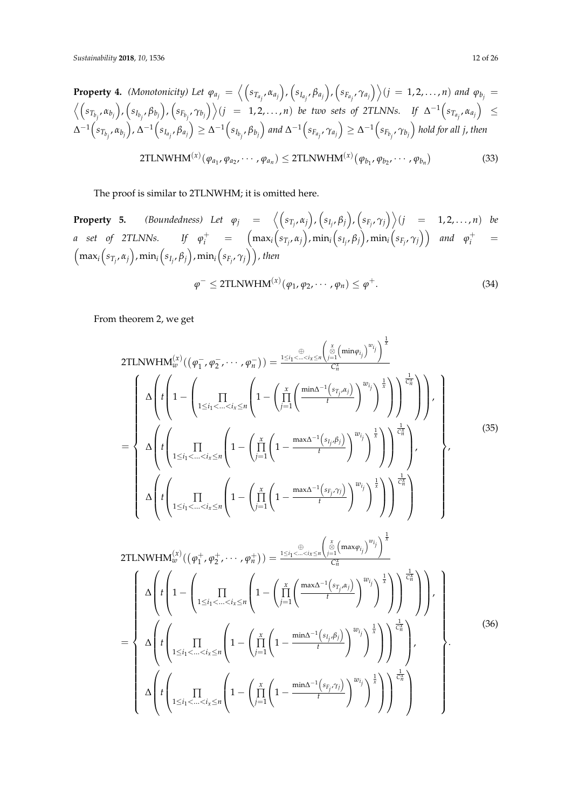**Property 4.** (Monotonicity) Let  $\varphi_{a_j} = \left\langle \left( s_{T_{a_j}} , \alpha_{a_j} \right) , \left( s_{I_{a_j}} , \beta_{a_j} \right) , \left( s_{F_{a_j}} , \gamma_{a_j} \right) \right\rangle (j = 1, 2, ..., n)$  and  $\varphi_{b_j} =$  $\Big\langle \Big(s_{T_{b_j}}, \alpha_{b_j}\Big), \Big(s_{I_{b_j}}, \beta_{b_j}\Big), \Big(s_{F_{b_j}}, \gamma_{b_j}\Big)\Big\rangle (j\;\;=\;\;1,2,\ldots,n) \;\; be \;\; two \;\; sets \;\; of \;\; 2TLNNs. \quad\; If \;\; \Delta^{-1}\Big(s_{T_{a_j}}, \alpha_{a_j}\Big) \;\; \leq$  $\Delta^{-1}\Big(s_{T_{b_j}},\alpha_{b_j}\Big)$ ,  $\Delta^{-1}\Big(s_{I_{a_j}},\beta_{a_j}\Big)\geq \Delta^{-1}\Big(s_{I_{b_j}},\beta_{b_j}\Big)$  and  $\Delta^{-1}\Big(s_{F_{a_j}},\gamma_{a_j}\Big)\geq \Delta^{-1}\Big(s_{F_{b_j}},\gamma_{b_j}\Big)$  hold for all j, then  $2 \text{TLNWHM}^{(x)}(\varphi_{a_1}, \varphi_{a_2}, \cdots, \varphi_{a_n}) \leq 2 \text{TLNWHM}^{(x)}(\varphi_{b_1}, \varphi_{b_2}, \cdots, \varphi_{b_n})$ (33)

The proof is similar to 2TLNWHM; it is omitted here.

**Property 5.** (Boundedness) Let  $\varphi_j = \langle (s_{T_j}, \alpha_j), (s_{I_j}, \beta_j), (s_{F_j}, \gamma_j) \rangle (j = 1, 2, ..., n)$  be a set of 2TLNNs. If  $\varphi^+_i$  =  $\Big(\max_i\Big(s_{T_j},\alpha_j\Big),\min_i\Big(s_{I_j},\beta_j\Big),\min_i\Big(s_{F_j},\gamma_j\Big)\Big)$  and  $\varphi^+_i$  =  $\left(\max_i\left(s_{T_j},\alpha_j\right),\min_i\left(s_{I_j},\beta_j\right),\min_i\left(s_{F_j},\gamma_j\right)\right)$ , then  $\varphi^{-} \leq 2 \text{TLNWHM}^{(x)}(\varphi_1, \varphi_2, \cdots, \varphi_n) \leq \varphi$  $+$ . (34)

From theorem 2, we get

2TLNWHM<sub>uv</sub><sup>(x)</sup>
$$
((\varphi_1^- , \varphi_2^- , \cdots , \varphi_n^-)) = \frac{1 \leq i_1 < \dots < i_x \leq n} \left( \sum_{j=1}^{x} \left( \frac{\sin n \varphi_{i_j}}{\sigma_i^x} \right)^{w_{i_j}} \right)^{\frac{1}{x}}
$$
  
\n
$$
= \begin{cases}\n\Delta \left( t \left( 1 - \left( \prod_{1 \leq i_1 < \dots < i_x \leq n} \left( 1 - \left( \prod_{j=1}^{x} \left( \frac{\min \Delta^{-1}(s_{T_j}, \alpha_j)}{t} \right)^{w_{i_j}} \right)^{\frac{1}{x}} \right) \right) \right)^{\frac{1}{C_n^x}} \right) \right), \\
\Delta \left( t \left( \prod_{1 \leq i_1 < \dots < i_x \leq n} \left( 1 - \left( \prod_{j=1}^{x} \left( 1 - \frac{\max \Delta^{-1}(s_{I_j}, \beta_j)}{t} \right)^{w_{i_j}} \right)^{\frac{1}{x}} \right) \right) \right), \\
\Delta \left( t \left( \prod_{1 \leq i_1 < \dots < i_x \leq n} \left( 1 - \left( \prod_{j=1}^{x} \left( 1 - \frac{\max \Delta^{-1}(s_{F_j}, \gamma_j)}{t} \right)^{w_{i_j}} \right)^{\frac{1}{x}} \right) \right) \right)^{\frac{1}{C_n^x}} \right)\n\end{cases},
$$
\n(35)

2TLNWHM<sub>i</sub><sup>(x)</sup>
$$
((\varphi_1^+, \varphi_2^+, \cdots, \varphi_n^+)) = \frac{1 \leq i_1 \leq \ldots \leq i_r \leq n} {\binom{\frac{x}{\infty} \left(\frac{x}{\lambda} \left(\max \varphi_{i_j}\right)^{w_{i_j}}\right)^{\frac{1}{x}}}{C_n^x}}
$$
  
\n
$$
= \begin{cases}\n\Delta \left( t \left( 1 - \left( \prod_{1 \leq i_1 < \ldots < i_x \leq n} \left( 1 - \left( \prod_{j=1}^x \left( \frac{\max \Delta^{-1}(s_{T_j}, \alpha_j)}{t} \right)^{w_{i_j}} \right)^{\frac{1}{x}} \right) \right) \right)^{\frac{1}{C_n^x}} \right) \right), \\
\Delta \left( t \left( \prod_{1 \leq i_1 < \ldots < i_x \leq n} \left( 1 - \left( \prod_{j=1}^x \left( 1 - \frac{\min \Delta^{-1}(s_{i_j}, \beta_j)}{t} \right)^{w_{i_j}} \right)^{\frac{1}{x}} \right) \right)^{\frac{1}{C_n^x}} \right), \\
\Delta \left( t \left( \prod_{1 \leq i_1 < \ldots < i_x \leq n} \left( 1 - \left( \prod_{j=1}^x \left( 1 - \frac{\min \Delta^{-1}(s_{F_j}, \gamma_j)}{t} \right)^{w_{i_j}} \right)^{\frac{1}{x}} \right) \right)^{\frac{1}{C_n^x}} \right)\n\end{cases} (36)
$$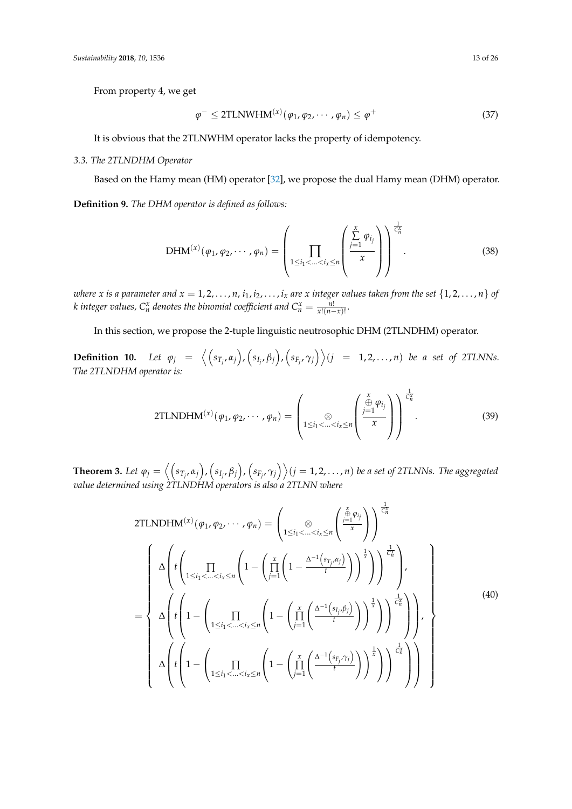From property 4, we get

$$
\varphi^{-} \leq 2\text{TLNWHM}^{(x)}(\varphi_1, \varphi_2, \cdots, \varphi_n) \leq \varphi^{+}
$$
\n(37)

It is obvious that the 2TLNWHM operator lacks the property of idempotency.

### *3.3. The 2TLNDHM Operator*

Based on the Hamy mean (HM) operator [\[32\]](#page-24-19), we propose the dual Hamy mean (DHM) operator.

**Definition 9.** *The DHM operator is defined as follows:*

$$
\text{DHM}^{(x)}(\varphi_1, \varphi_2, \cdots, \varphi_n) = \left( \prod_{1 \leq i_1 < \ldots < i_x \leq n} \left( \frac{\sum\limits_{j=1}^x \varphi_{i_j}}{x} \right) \right)^{\frac{1}{C_n^x}}.
$$
\n(38)

where x is a parameter and  $x = 1, 2, ..., n$ ,  $i_1, i_2, ..., i_x$  are x integer values taken from the set  $\{1, 2, ..., n\}$  of *k* integer values,  $C_n^x$  denotes the binomial coefficient and  $C_n^x = \frac{n!}{x!(n-x)!}$ .

In this section, we propose the 2-tuple linguistic neutrosophic DHM (2TLNDHM) operator.

**Definition 10.** Let  $\varphi_j = \left\langle \left( s_{T_j}, \alpha_j \right), \left( s_{I_j}, \beta_j \right), \left( s_{F_j}, \gamma_j \right) \right\rangle (j = 1, 2, ..., n)$  be a set of 2TLNNs. *The 2TLNDHM operator is:*

2TLNDHM<sup>(x)</sup>(
$$
\varphi_1, \varphi_2, \cdots, \varphi_n
$$
) = 
$$
\left(\sum_{1 \leq i_1 < \ldots < i_x \leq n} \left( \frac{\stackrel{x}{\oplus} \varphi_{i_j}}{x} \right) \right)^{\frac{1}{C_n^x}}.
$$
 (39)

**Theorem 3.** Let  $\varphi_j=\left\langle \left(s_{T_j},\alpha_j\right),\left(s_{I_j},\beta_j\right),\left(s_{F_j},\gamma_j\right)\right\rangle$   $(j=1,2,\ldots,n)$  be a set of 2TLNNs. The aggregated *value determined using 2TLNDHM operators is also a 2TLNN where*

2TLNDHM<sup>(x)</sup> 
$$
(\varphi_1, \varphi_2, \dots, \varphi_n)
$$
 =  $\left( \underset{1 \leq i_1 < \dots < i_x \leq n}{\otimes} \left( \frac{\sum_{j=1}^{x} \varphi_{i_j}}{\frac{1}{x}} \right) \right)^{\frac{1}{C_n^x}}$   
\n
$$
= \left\{ \Delta \left( t \left( \underset{1 \leq i_1 < \dots < i_x \leq n}{\prod} \left( 1 - \left( \underset{j=1}{\prod} \left( 1 - \frac{\Delta^{-1}(s_{T_j, \alpha_j})}{t} \right) \right)^{\frac{1}{x}} \right) \right) \right)^{\frac{1}{x}} \right\},
$$
\n
$$
= \left\{ \Delta \left( t \left( 1 - \left( \underset{1 \leq i_1 < \dots < i_x \leq n}{\prod} \left( 1 - \left( \underset{j=1}{\prod} \left( \frac{\Delta^{-1}(s_{i_j, \beta_j})}{t} \right) \right)^{\frac{1}{x}} \right) \right)^{\frac{1}{x}} \right) \right\},
$$
\n
$$
\Delta \left( t \left( 1 - \left( \underset{1 \leq i_1 < \dots < i_x \leq n}{\prod} \left( 1 - \left( \underset{j=1}{\prod} \left( \frac{\Delta^{-1}(s_{F_j, \gamma_j})}{t} \right) \right)^{\frac{1}{x}} \right) \right)^{\frac{1}{x}} \right) \right) \right\} \right\}
$$
\n(40)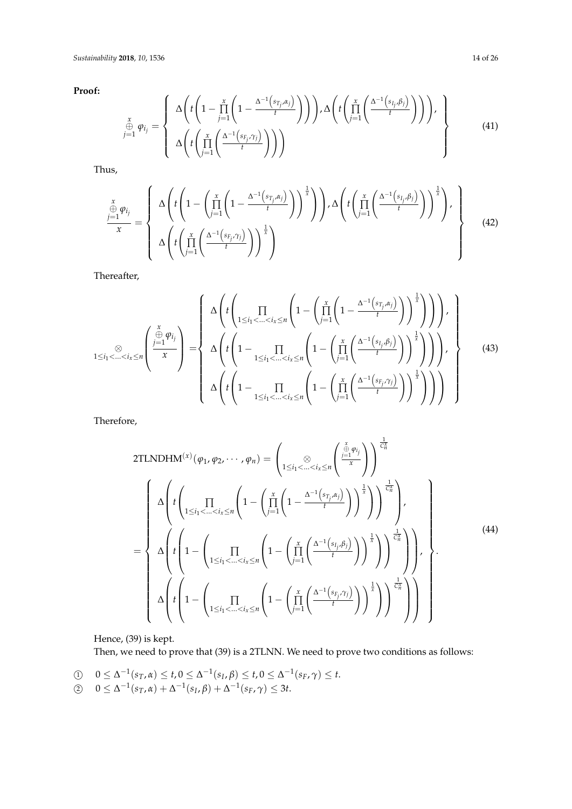**Proof:**

$$
\sum_{\substack{x \\ j=1}}^x \varphi_{i_j} = \left\{ \Delta \left( t \left( 1 - \prod_{j=1}^x \left( 1 - \frac{\Delta^{-1} \left( s_{T_j}, \alpha_j \right)}{t} \right) \right) \right), \Delta \left( t \left( \prod_{j=1}^x \left( \frac{\Delta^{-1} \left( s_{I_j}, \beta_j \right)}{t} \right) \right) \right), \\\Delta \left( t \left( \prod_{j=1}^x \left( \frac{\Delta^{-1} \left( s_{I_j}, \gamma_j \right)}{t} \right) \right) \right) \right\} \right\}
$$
(41)

Thus,

$$
\frac{\sum\limits_{j=1}^{x} \varphi_{i_j}}{x} = \left\{\begin{array}{c} \Delta\left(t\left(1 - \left(\prod\limits_{j=1}^{x} \left(1 - \frac{\Delta^{-1}\left(s_{T_j}, \alpha_j\right)}{t}\right)\right)^{\frac{1}{x}}\right)\right), \Delta\left(t\left(\prod\limits_{j=1}^{x} \left(\frac{\Delta^{-1}\left(s_{T_j}, \beta_j\right)}{t}\right)\right)^{\frac{1}{x}}\right), \\ \Delta\left(t\left(\prod\limits_{j=1}^{x} \left(\frac{\Delta^{-1}\left(s_{F_j}, \gamma_j\right)}{t}\right)\right)^{\frac{1}{x}}\right) \end{array}\right\} \tag{42}
$$

Thereafter,

$$
1 \leq i_1 < \ldots < i_x \leq n \left( \frac{\sum\limits_{j=1}^{x} \varphi_{i_j}}{x} \right) = \left\{ \Delta \left( t \left( \prod_{1 \leq i_1 < \ldots < i_x \leq n} \left( 1 - \left( \prod_{j=1}^{x} \left( 1 - \frac{\Delta^{-1} \left( s_{T_j}, \alpha_j \right)}{t} \right) \right)^{\frac{1}{x}} \right) \right) \right), \quad \Delta \left( t \left( 1 - \prod_{1 \leq i_1 < \ldots < i_x \leq n} \left( 1 - \left( \prod_{j=1}^{x} \left( \frac{\Delta^{-1} \left( s_{I_j}, \beta_j \right)}{t} \right) \right)^{\frac{1}{x}} \right) \right) \right), \quad \Delta \left( t \left( 1 - \prod_{1 \leq i_1 < \ldots < i_x \leq n} \left( 1 - \left( \prod_{j=1}^{x} \left( \frac{\Delta^{-1} \left( s_{F_j}, \gamma_j \right)}{t} \right) \right)^{\frac{1}{x}} \right) \right) \right) \right\} \right\} \tag{43}
$$

Therefore,

2TLNDHM<sup>(x)</sup> 
$$
(\varphi_1, \varphi_2, \dots, \varphi_n)
$$
 =  $\left( \underset{1 \leq i_1 < \dots < i_x \leq n}{\otimes} \left( \frac{\sum_{j=1}^{x} \varphi_{i_j}}{x} \right) \right)^{\frac{1}{C_n^x}}$   
\n
$$
= \left\{ \Delta \left( t \left( \underset{1 \leq i_1 < \dots < i_x \leq n}{\prod} \left( 1 - \left( \prod_{j=1}^x \left( 1 - \frac{\Delta^{-1}(s_{T_j}, \alpha_j)}{t} \right) \right)^{\frac{1}{x}} \right) \right)^{\frac{1}{C_n}} \right\},
$$
\n
$$
\Delta \left( t \left( 1 - \left( \underset{1 \leq i_1 < \dots < i_x \leq n}{\prod} \left( 1 - \left( \prod_{j=1}^x \left( \frac{\Delta^{-1}(s_{I_j}, \beta_j)}{t} \right) \right)^{\frac{1}{x}} \right) \right)^{\frac{1}{C_n^x}} \right) \right),
$$
\n
$$
\Delta \left( t \left( 1 - \left( \underset{1 \leq i_1 < \dots < i_x \leq n}{\prod} \left( 1 - \left( \prod_{j=1}^x \left( \frac{\Delta^{-1}(s_{F_j}, \gamma_j)}{t} \right) \right)^{\frac{1}{x}} \right) \right)^{\frac{1}{C_n^x}} \right) \right) \right\}.
$$
\n(44)

Hence, (39) is kept.

Then, we need to prove that (39) is a 2TLNN. We need to prove two conditions as follows:

$$
\begin{aligned}\n\textcircled{1} \quad & 0 \leq \Delta^{-1}(s_T, \alpha) \leq t, \\
0 & \leq \Delta^{-1}(s_L, \beta) \leq t, \\
0 & \leq \Delta^{-1}(s_T, \alpha) + \Delta^{-1}(s_L, \beta) + \Delta^{-1}(s_L, \gamma) \leq 3t.\n\end{aligned}
$$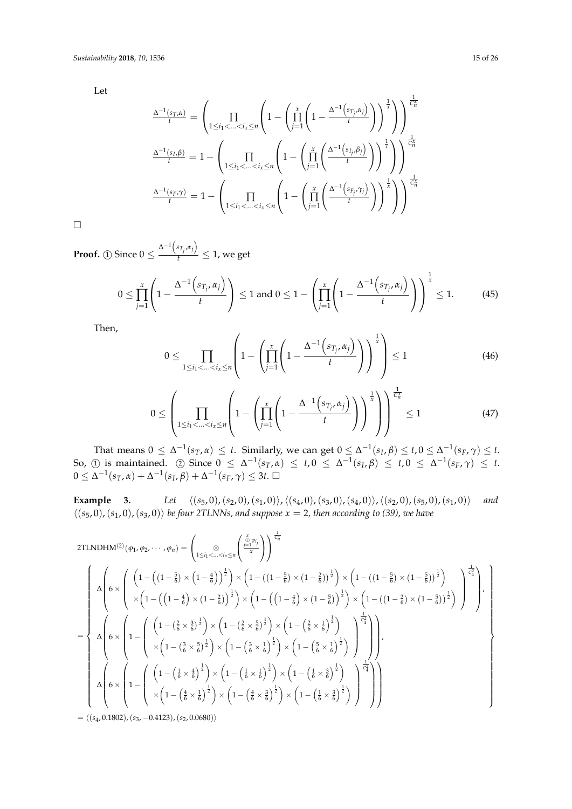Let

$$
\frac{\Delta^{-1}(s_T,\alpha)}{t} = \left(\prod_{1 \le i_1 < \ldots < i_x \le n} \left(1 - \left(\prod_{j=1}^x \left(1 - \frac{\Delta^{-1}(s_{T_j},\alpha_j)}{t}\right)\right)^{\frac{1}{x}}\right)\right) \frac{\frac{1}{C_n^x}}{t}
$$
\n
$$
\frac{\Delta^{-1}(s_L,\beta)}{t} = 1 - \left(\prod_{1 \le i_1 < \ldots < i_x \le n} \left(1 - \left(\prod_{j=1}^x \left(\frac{\Delta^{-1}(s_{T_j},\beta_j)}{t}\right)\right)^{\frac{1}{x}}\right)\right) \frac{\frac{1}{C_n^x}}{t}
$$
\n
$$
\frac{\Delta^{-1}(s_F,\gamma)}{t} = 1 - \left(\prod_{1 \le i_1 < \ldots < i_x \le n} \left(1 - \left(\prod_{j=1}^x \left(\frac{\Delta^{-1}(s_{F_j},\gamma_j)}{t}\right)\right)^{\frac{1}{x}}\right)\right)^{\frac{1}{C_n^x}}
$$

 $\Box$ 

**Proof.** (1) Since  $0 \leq \frac{\Delta^{-1}(s_{T_j}, \alpha_j)}{t}$  $\frac{T_i^{T_i}}{t} \leq 1$ , we get

$$
0 \leq \prod_{j=1}^x \left(1 - \frac{\Delta^{-1}\left(s_{T_j}, \alpha_j\right)}{t}\right) \leq 1 \text{ and } 0 \leq 1 - \left(\prod_{j=1}^x \left(1 - \frac{\Delta^{-1}\left(s_{T_j}, \alpha_j\right)}{t}\right)\right)^{\frac{1}{x}} \leq 1. \tag{45}
$$

Then,

$$
0 \leq \prod_{1 \leq i_1 < \ldots < i_x \leq n} \left( 1 - \left( \prod_{j=1}^x \left( 1 - \frac{\Delta^{-1} \left( s_{T_j}, \alpha_j \right)}{t} \right) \right)^{\frac{1}{x}} \right) \leq 1 \tag{46}
$$

$$
0 \leq \left(\prod_{1 \leq i_1 < \ldots < i_x \leq n} \left(1 - \left(\prod_{j=1}^x \left(1 - \frac{\Delta^{-1}\left(s_{T_j}, \alpha_j\right)}{t}\right)\right)^{\frac{1}{x}}\right)\right)^{\frac{1}{C_n^x}} \leq 1\tag{47}
$$

That means  $0 \leq \Delta^{-1}(s_T, \alpha) \leq t$ . Similarly, we can get  $0 \leq \Delta^{-1}(s_I, \beta) \leq t, 0 \leq \Delta^{-1}(s_F, \gamma) \leq t$ . So, ① is maintained. ② Since  $0 \leq \Delta^{-1}(s_T, \alpha) \leq t, 0 \leq \Delta^{-1}(s_I, \beta) \leq t, 0 \leq \Delta^{-1}(s_F, \gamma) \leq t$ .  $0 ≤ Δ^{-1}(s_T, α) + Δ^{-1}(s_I, β) + Δ^{-1}(s_F, γ) ≤ 3t. □$ 

**Example** 3. *Let*  $\langle (s_5, 0), (s_2, 0), (s_1, 0) \rangle$ ,  $\langle (s_4, 0), (s_3, 0), (s_4, 0) \rangle$ ,  $\langle (s_2, 0), (s_5, 0), (s_1, 0) \rangle$  *and*  $\langle (s_5, 0), (s_1, 0), (s_3, 0) \rangle$  *be four 2TLNNs, and suppose*  $x = 2$ *, then according to (39), we have* 

2TLNDHM<sup>(2)</sup>(
$$
\varphi_1, \varphi_2, ..., \varphi_n
$$
) =  $\left( \underset{1 \leq i_1 < ... < i_s \leq n}{\sum_{i=1}^{\infty} \left( \frac{\frac{1}{\pi} \varphi_i}{x} \right)} \right)^{\frac{1}{C_n^*}}$   
\n
$$
\Delta \left( 6 \times \left( \begin{array}{c} \left( 1 - \left( \left( 1 - \frac{5}{6} \right) \times \left( 1 - \frac{4}{6} \right) \right)^{\frac{1}{2}} \right) \times \left( 1 - \left( \left( 1 - \frac{5}{6} \right) \times \left( 1 - \frac{2}{6} \right) \right)^{\frac{1}{2}} \right) \times \left( 1 - \left( \left( 1 - \frac{5}{6} \right) \times \left( 1 - \frac{5}{6} \right) \right)^{\frac{1}{2}} \right) \times \left( 1 - \left( \left( 1 - \frac{5}{6} \right) \times \left( 1 - \frac{5}{6} \right) \right)^{\frac{1}{2}} \right) \times \left( 1 - \left( \left( 1 - \frac{5}{6} \right) \times \left( 1 - \frac{5}{6} \right) \right)^{\frac{1}{2}} \right) \times \left( 1 - \left( \left( 1 - \frac{5}{6} \right) \times \left( 1 - \frac{5}{6} \right) \right)^{\frac{1}{2}} \right) \times \left( 1 - \left( \left( 1 - \frac{5}{6} \right) \times \left( 1 - \frac{5}{6} \right) \right)^{\frac{1}{2}} \right) \right)
$$
\n
$$
= \begin{cases} \Delta \left( 6 \times \left( 1 - \left( \left( \frac{1}{6} \times \frac{3}{6} \right)^{\frac{1}{2}} \right) \times \left( 1 - \left( \frac{2}{6} \times \frac{5}{6} \right)^{\frac{1}{2}} \right) \times \left( 1 - \left( \frac{5}{6} \times \frac{1}{6} \right)^{\frac{1}{2}} \right) \right) \right) \\ \Delta \left( 6 \times \left( 1 - \left( \left( \left( \frac{1}{6} \times \frac{4}{6} \right)^{\frac{1}{2}} \right) \times \left( 1 - \left( \frac{1}{
$$

 $= \langle (s_4, 0.1802), (s_3, -0.4123), (s_2, 0.0680) \rangle$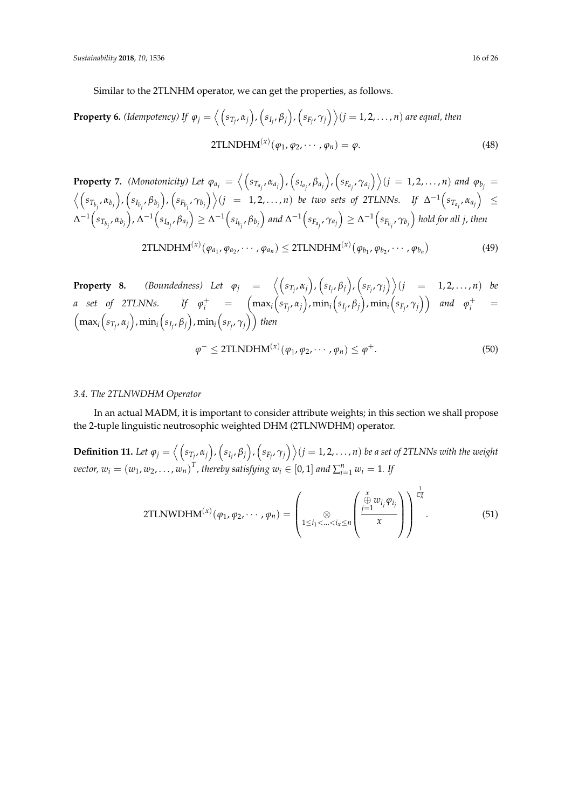Similar to the 2TLNHM operator, we can get the properties, as follows.

**Property 6.** (*Idempotency*) If 
$$
\varphi_j = \langle (s_{T_j}, \alpha_j), (s_{I_j}, \beta_j), (s_{F_j}, \gamma_j) \rangle
$$
  $(j = 1, 2, ..., n)$  are equal, then  
2TLNDHM<sup>(x)</sup>( $\varphi_1, \varphi_2, ..., \varphi_n$ ) =  $\varphi$ . (48)

**Property 7.** (Monotonicity) Let  $\varphi_{a_j} = \left\langle \left(s_{T_{a_j}}, \alpha_{a_j}\right), \left(s_{I_{a_j}}, \beta_{a_j}\right), \left(s_{F_{a_i}}, \gamma_{a_j}\right) \right\rangle (j = 1, 2, ..., n)$  and  $\varphi_{b_j} =$  $\langle (s_{T_{b_j}}, \alpha_{b_j}), (s_{I_{b_j}}, \beta_{b_j}), (s_{F_{b_j}}, \gamma_{b_j}) \rangle (j = 1, 2, ..., n)$  be two sets of 2TLNNs. If  $\Delta^{-1}(s_{T_{a_j}}, \alpha_{a_j}) \leq$  $\Delta^{-1}\Big(s_{T_{b_j}},\alpha_{b_j}\Big)$ ,  $\Delta^{-1}\Big(s_{I_{a_j}},\beta_{a_j}\Big)\geq \Delta^{-1}\Big(s_{I_{b_j}},\beta_{b_j}\Big)$  and  $\Delta^{-1}\Big(s_{F_{a_j}},\gamma_{a_j}\Big)\geq \Delta^{-1}\Big(s_{F_{b_j}},\gamma_{b_j}\Big)$  hold for all j, then

$$
2TLNDHM(x)(\varphi_{a_1}, \varphi_{a_2}, \cdots, \varphi_{a_n}) \leq 2TLNDHM(x)(\varphi_{b_1}, \varphi_{b_2}, \cdots, \varphi_{b_n})
$$
\n(49)

**Property 8.** (Boundedness) Let  $\varphi_j = \langle (s_{T_j}, \alpha_j), (s_{I_j}, \beta_j), (s_{F_j}, \gamma_j) \rangle (j = 1, 2, ..., n)$  be a set of 2TLNNs. If  $\varphi^+_i$  =  $\Big(\max_i\Big(s_{T_j},\alpha_j\Big),\min_i\Big(s_{I_j},\beta_j\Big),\min_i\Big(s_{F_j},\gamma_j\Big)\Big)$  and  $\varphi^+_i$  =  $\left(\max_i \left(s_{T_j}, \alpha_j\right)$ ,  $\min_i \left(s_{I_j}, \beta_j\right)$ ,  $\min_i \left(s_{F_j}, \gamma_j\right)\right)$  then

$$
\varphi^{-} \leq 2\text{TLNDHM}^{(x)}(\varphi_1, \varphi_2, \cdots, \varphi_n) \leq \varphi^{+}.
$$
\n
$$
(50)
$$

### *3.4. The 2TLNWDHM Operator*

In an actual MADM, it is important to consider attribute weights; in this section we shall propose the 2-tuple linguistic neutrosophic weighted DHM (2TLNWDHM) operator.

**Definition 11.** Let  $\varphi_j=\left\langle \left(s_{T_j},\alpha_j\right),\left(s_{I_j},\beta_j\right),\left(s_{F_j},\gamma_j\right)\right\rangle$   $(j=1,2,\ldots,n)$  be a set of 2TLNNs with the weight *vector,*  $w_i = (w_1, w_2, \dots, w_n)^T$ , thereby satisfying  $w_i \in [0, 1]$  and  $\sum_{i=1}^n w_i = 1$ . If

2TLNWDHM<sup>(x)</sup>(
$$
\varphi_1, \varphi_2, \cdots, \varphi_n
$$
) = 
$$
\left(\sum_{1 \leq i_1 < \ldots < i_x \leq n} \left( \frac{\sum_{j=1}^x w_{i_j} \varphi_{i_j}}{x} \right) \right)^{\frac{1}{C_n^*}}.
$$
 (51)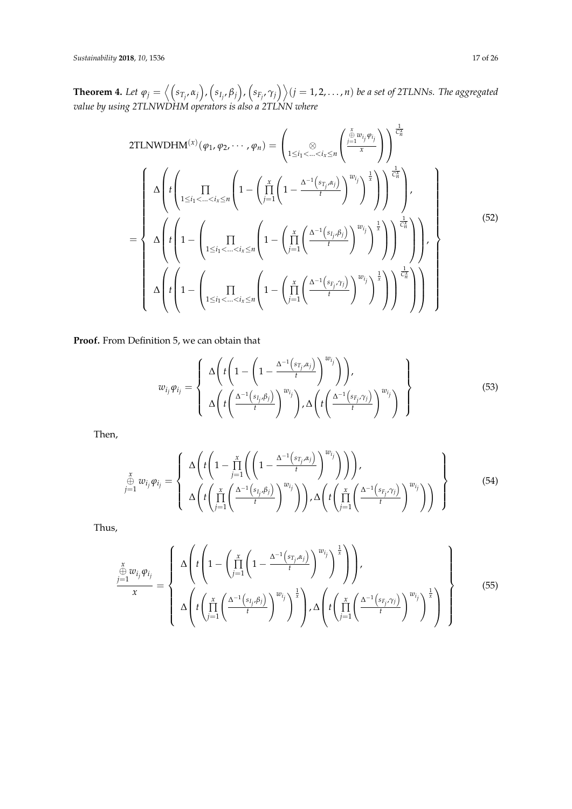**Theorem 4.** Let  $\varphi_j=\left\langle \left(s_{T_j},\alpha_j\right),\left(s_{I_j},\beta_j\right),\left(s_{F_j},\gamma_j\right)\right\rangle$   $(j=1,2,\ldots,n)$  be a set of 2TLNNs. The aggregated *value by using 2TLNWDHM operators is also a 2TLNN where*

2TLNWDHM<sup>(x)</sup> 
$$
(\varphi_1, \varphi_2, \dots, \varphi_n)
$$
 =  $\left(\sum_{1 \le i_1 < \dots < i_x \le n} \left( \frac{\sum_{j=1}^x w_{ij} \varphi_{ij}}{x} \right) \right)^{\frac{1}{C_n^*}}$   
\n
$$
= \left\{\begin{array}{l}\Delta \left( t \left( \prod_{1 \le i_1 < \dots < i_x \le n} \left( 1 - \left( \prod_{j=1}^x \left( 1 - \frac{\Delta^{-1}(s_{i_j, \alpha_j})}{t} \right)^{w_{i_j}} \right)^{\frac{1}{x}} \right) \right) \right)^{\frac{1}{C_n^*}} \right\}, \\ \Delta \left( t \left( 1 - \left( \prod_{1 \le i_1 < \dots < i_x \le n} \left( 1 - \left( \prod_{j=1}^x \left( \frac{\Delta^{-1}(s_{i_j, \beta_j})}{t} \right)^{w_{i_j}} \right)^{\frac{1}{x}} \right) \right) \right)^{\frac{1}{C_n^*}} \right) \right), \\ \Delta \left( t \left( 1 - \left( \prod_{1 \le i_1 < \dots < i_x \le n} \left( 1 - \left( \prod_{j=1}^x \left( \frac{\Delta^{-1}(s_{i_j, \gamma_j})}{t} \right)^{w_{i_j}} \right)^{\frac{1}{x}} \right) \right) \right)^{\frac{1}{C_n^*}} \right)\right) \right\} \end{array} (52)
$$

**Proof.** From Definition 5, we can obtain that

$$
w_{i_j}\varphi_{i_j} = \left\{\begin{array}{l} \Delta\left(t\left(1 - \left(1 - \frac{\Delta^{-1}\left(s_{T_j}, \alpha_j\right)}{t}\right)^{w_{i_j}}\right)\right), \\ \Delta\left(t\left(\frac{\Delta^{-1}\left(s_{T_j}, \beta_j\right)}{t}\right)^{w_{i_j}}\right), \Delta\left(t\left(\frac{\Delta^{-1}\left(s_{F_j}, \gamma_j\right)}{t}\right)^{w_{i_j}}\right) \end{array}\right\} \tag{53}
$$

Then,

$$
\sum_{\substack{\alpha \\ j=1}}^x w_{i_j} \varphi_{i_j} = \left\{ \Delta \left( t \left( 1 - \prod_{j=1}^x \left( \left( 1 - \frac{\Delta^{-1} \left( s_{T_j}, \alpha_j \right)}{t} \right)^{w_{i_j}} \right) \right) \right), \\ \Delta \left( t \left( \prod_{j=1}^x \left( \frac{\Delta^{-1} \left( s_{T_j}, \beta_j \right)}{t} \right)^{w_{i_j}} \right) \right), \Delta \left( t \left( \prod_{j=1}^x \left( \frac{\Delta^{-1} \left( s_{F_j}, \gamma_j \right)}{t} \right)^{w_{i_j}} \right) \right) \right) \right\}
$$
\n(54)

Thus,

$$
\frac{\sum\limits_{j=1}^{x} w_{i_j} \varphi_{i_j}}{x} = \left\{\begin{array}{c} \Delta \left( t \left( 1 - \left( \prod\limits_{j=1}^{x} \left( 1 - \frac{\Delta^{-1} \left( s_{T_j}, \alpha_j \right)}{t} \right)^{w_{i_j}} \right)^{\frac{1}{x}} \right) \right), \\ \Delta \left( t \left( \prod\limits_{j=1}^{x} \left( \frac{\Delta^{-1} \left( s_{I_j}, \beta_j \right)}{t} \right)^{w_{i_j}} \right)^{\frac{1}{x}} \right), \Delta \left( t \left( \prod\limits_{j=1}^{x} \left( \frac{\Delta^{-1} \left( s_{F_j}, \gamma_j \right)}{t} \right)^{w_{i_j}} \right)^{\frac{1}{x}} \right) \end{array} \right\} \tag{55}
$$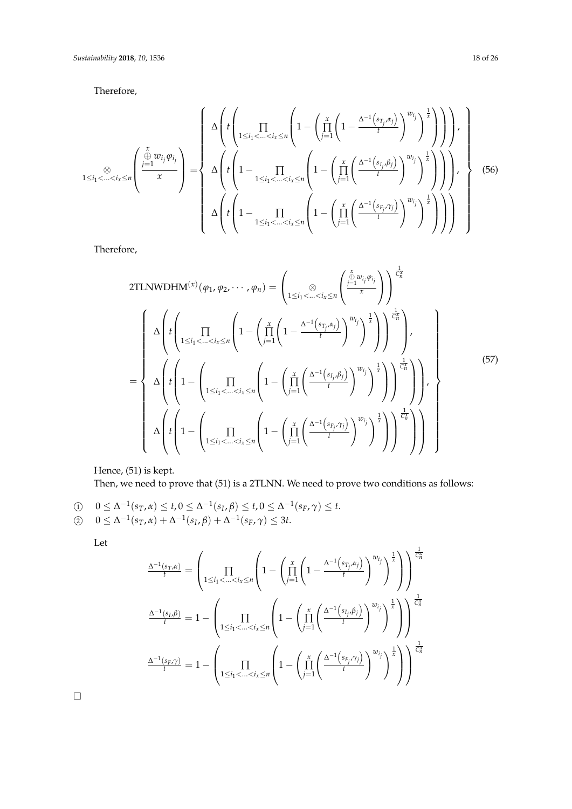Therefore,

$$
1 \leq i_1 < \ldots < i_x \leq n \left( \frac{\sum\limits_{j=1}^x w_{i_j} \varphi_{i_j}}{x} \right) = \left\{ \begin{array}{l} \Delta \left( t \left( \prod_{1 \leq i_1 < \ldots < i_x \leq n} \left( 1 - \left( \prod_{j=1}^x \left( 1 - \frac{\Delta^{-1} \left( s_{T_j}, \alpha_j \right)}{t} \right)^{w_{i_j}} \right)^{\frac{1}{x}} \right) \right) \right), \\ \Delta \left( t \left( 1 - \prod_{1 \leq i_1 < \ldots < i_x \leq n} \left( 1 - \left( \prod_{j=1}^x \left( \frac{\Delta^{-1} \left( s_{I_j}, \beta_j \right)}{t} \right)^{w_{i_j}} \right)^{\frac{1}{x}} \right) \right) \right), \\ \Delta \left( t \left( 1 - \prod_{1 \leq i_1 < \ldots < i_x \leq n} \left( 1 - \left( \prod_{j=1}^x \left( \frac{\Delta^{-1} \left( s_{F_j}, \gamma_j \right)}{t} \right)^{w_{i_j}} \right)^{\frac{1}{x}} \right) \right) \right) \right) \end{array} \right\} \tag{56}
$$

Therefore,

2TLNWDHM<sup>(x)</sup> 
$$
(\varphi_1, \varphi_2, \dots, \varphi_n)
$$
 =  $\left( \underset{1 \leq i_1 < \dots < i_x \leq n}{\otimes} \left( \frac{\frac{x}{j-1} w_{ij} \varphi_{ij}}{x} \right) \right)^{\frac{1}{C_n^x}}$   
\n
$$
= \left\{ \Delta \left( t \left( \underset{1 \leq i_1 < \dots < i_x \leq n}{\prod} \left( 1 - \left( \frac{x}{\prod_{j=1}^x \left( 1 - \frac{\Delta^{-1} \left( s_{T_j}, \alpha_j \right)}{t} \right)^{w_{ij}} \right)^{\frac{1}{x}} \right) \right) \right)^{\frac{1}{C_n^x}} \right\},
$$
\n
$$
= \left\{ \Delta \left( t \left( 1 - \left( \underset{1 \leq i_1 < \dots < i_x \leq n}{\prod} \left( 1 - \left( \frac{x}{\prod_{j=1}^x \left( \frac{\Delta^{-1} \left( s_{I_j}, \beta_j \right)}{t} \right)^{w_{I_j}} \right)^{\frac{1}{x}} \right) \right) \right) \right\},
$$
\n
$$
\Delta \left( t \left( 1 - \left( \underset{1 \leq i_1 < \dots < i_x \leq n}{\prod} \left( 1 - \left( \frac{x}{\prod_{j=1}^x \left( \frac{\Delta^{-1} \left( s_{F_j}, \gamma_j \right)}{t} \right)^{w_{I_j}} \right)^{\frac{1}{x}} \right) \right) \right) \right\} \right\}
$$
\n
$$
(57)
$$

Hence, (51) is kept.

Then, we need to prove that (51) is a 2TLNN. We need to prove two conditions as follows:

\n- \n
$$
\begin{aligned}\n 0 &\leq \Delta^{-1}(s_T, \alpha) \leq t, \\
 0 &\leq \Delta^{-1}(s_L, \beta) \leq t, \\
 0 &\leq \Delta^{-1}(s_T, \alpha) + \Delta^{-1}(s_L, \beta) + \Delta^{-1}(s_F, \gamma) \leq 3t.\n \end{aligned}
$$
\n
\n

Let

$$
\frac{\Delta^{-1}(s_T,\alpha)}{t} = \left(\prod_{1 \leq i_1 < \ldots < i_x \leq n} \left(1 - \left(\prod_{j=1}^x \left(1 - \frac{\Delta^{-1}(s_{T_j},\alpha_j)}{t}\right)^{w_{i_j}}\right)^{\frac{1}{x}}\right)\right)^{\frac{1}{C_n^x}}
$$
\n
$$
\frac{\Delta^{-1}(s_{I},\beta)}{t} = 1 - \left(\prod_{1 \leq i_1 < \ldots < i_x \leq n} \left(1 - \left(\prod_{j=1}^x \left(\frac{\Delta^{-1}(s_{I_j},\beta_j)}{t}\right)^{w_{i_j}}\right)^{\frac{1}{x}}\right)\right)^{\frac{1}{C_n^x}}
$$
\n
$$
\frac{\Delta^{-1}(s_{F},\gamma)}{t} = 1 - \left(\prod_{1 \leq i_1 < \ldots < i_x \leq n} \left(1 - \left(\prod_{j=1}^x \left(\frac{\Delta^{-1}(s_{F_j},\gamma_j)}{t}\right)^{w_{i_j}}\right)^{\frac{1}{x}}\right)\right)^{\frac{1}{C_n^x}}
$$

 $\Box$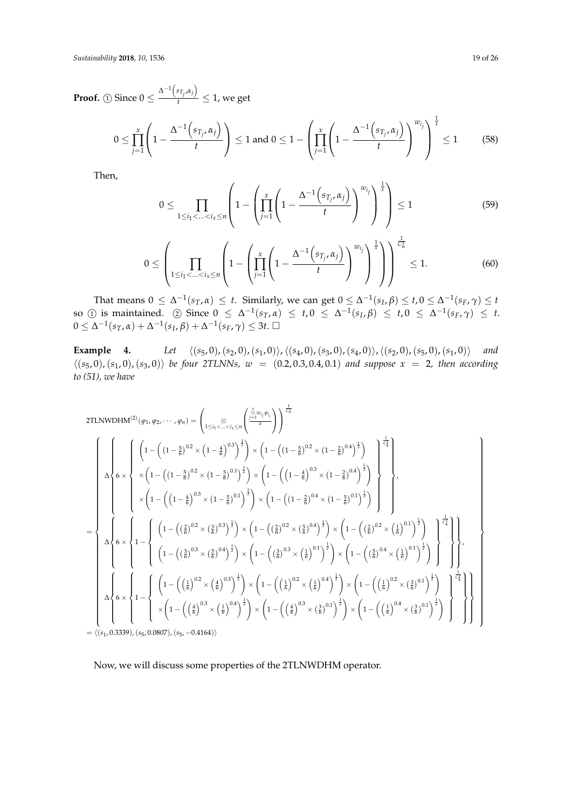**Proof.** (1) Since  $0 \leq \frac{\Delta^{-1}(s_{T_j}, \alpha_j)}{t}$  $\frac{T_i^{T_i}}{t} \leq 1$ , we get

$$
0 \le \prod_{j=1}^{x} \left( 1 - \frac{\Delta^{-1} \left( s_{T_j}, \alpha_j \right)}{t} \right) \le 1 \text{ and } 0 \le 1 - \left( \prod_{j=1}^{x} \left( 1 - \frac{\Delta^{-1} \left( s_{T_j}, \alpha_j \right)}{t} \right)^{w_{i_j}} \right)^{\frac{1}{x}} \le 1 \quad (58)
$$

Then,

$$
0 \leq \prod_{1 \leq i_1 < \ldots < i_x \leq n} \left( 1 - \left( \prod_{j=1}^x \left( 1 - \frac{\Delta^{-1} \left( s_{T_j}, \alpha_j \right)}{t} \right)^{w_{i_j}} \right)^{\frac{1}{x}} \right) \leq 1 \tag{59}
$$

$$
0 \leq \left(\prod_{1 \leq i_1 < \ldots < i_x \leq n} \left(1 - \left(\prod_{j=1}^x \left(1 - \frac{\Delta^{-1}\left(s_{T_j}, \alpha_j\right)}{t}\right)^{w_{i_j}}\right)^{\frac{1}{x}}\right)\right)^{\frac{1}{C_n^x}} \leq 1. \tag{60}
$$

That means  $0 \le \Delta^{-1}(s_T, \alpha) \le t$ . Similarly, we can get  $0 \le \Delta^{-1}(s_I, \beta) \le t, 0 \le \Delta^{-1}(s_F, \gamma) \le t$  $\text{so } (1) \text{ is maintained.}$  (2) Since  $0 \leq \Delta^{-1}(s_T, \alpha) \leq t, 0 \leq \Delta^{-1}(s_I, \beta) \leq t, 0 \leq \Delta^{-1}(s_F, \gamma) \leq t.$  $0 ≤ Δ^{-1}(s_T, α) + Δ^{-1}(s_I, β) + Δ^{-1}(s_F, γ) ≤ 3t. □$ 

**Example 4.** *Let*  $\langle (s_5, 0), (s_2, 0), (s_1, 0) \rangle$ ,  $\langle (s_4, 0), (s_3, 0), (s_4, 0) \rangle$ ,  $\langle (s_2, 0), (s_5, 0), (s_1, 0) \rangle$  *and*  $\langle (s_5, 0), (s_1, 0), (s_3, 0) \rangle$  *be four 2TLNNs,*  $w = (0.2, 0.3, 0.4, 0.1)$  *and suppose*  $x = 2$ *, then according to (51), we have*

2TLNWDHM<sup>(2)</sup>(
$$
\varphi_1, \varphi_2, ..., \varphi_n
$$
) =  $\left( \sum_{1 \leq i_1 < ... < i_k \leq n} \left( \frac{\sum_{j=1}^{k} w_{ij} \varphi_{ij}}{x} \right) \right)^{\frac{1}{C_{2n}^*}}$   
\n
$$
\left( \int_{0}^{1} \left( 1 - \left( (1 - \frac{5}{6})^{0.2} \times (1 - \frac{5}{6})^{0.1} \right)^{\frac{1}{2}} \right) \times \left( 1 - \left( (1 - \frac{5}{6})^{0.2} \times (1 - \frac{2}{6})^{0.4} \right)^{\frac{1}{2}} \right) \right) \times \left( 1 - \left( (1 - \frac{4}{6})^{0.3} \times (1 - \frac{2}{6})^{0.4} \right)^{\frac{1}{2}} \right) \right)
$$
\n
$$
= \left\{ \int_{0}^{1} \left( 1 - \left( (1 - \frac{4}{6})^{0.3} \times (1 - \frac{5}{6})^{0.1} \right)^{\frac{1}{2}} \right) \times \left( 1 - \left( (1 - \frac{2}{6})^{0.4} \times (1 - \frac{5}{6})^{0.1} \right)^{\frac{1}{2}} \right) \right\} \right\},
$$
\n
$$
= \left\{ \int_{0}^{1} \left( 1 - \left( (\frac{2}{6})^{0.2} \times (\frac{3}{6})^{0.3} \right)^{\frac{1}{2}} \right) \times \left( 1 - \left( (\frac{2}{6})^{0.2} \times (\frac{5}{6})^{0.4} \right)^{\frac{1}{2}} \right) \times \left( 1 - \left( (\frac{5}{6})^{0.2} \times (\frac{1}{6})^{0.1} \right)^{\frac{1}{2}} \right) \right\} \right\} \right\},
$$
\n
$$
= \left\{ \int_{0}^{1} \left( 6 \times \left\{ 1 - \left( \left( \frac{3}{6} \right)^{0.2} \times (\frac{5}{6})^{0.4} \right)^{\frac{1}{2}} \right) \times \left( 1 - \left( \left( \frac{3}{6} \right)^{0.2} \times (\frac{1}{6})^{0.1} \right)^{\frac{1}{2}} \right) \
$$

= h(*s*1, 0.3339),(*s*5, 0.0807),(*s*5, −0.4164)i

Now, we will discuss some properties of the 2TLNWDHM operator.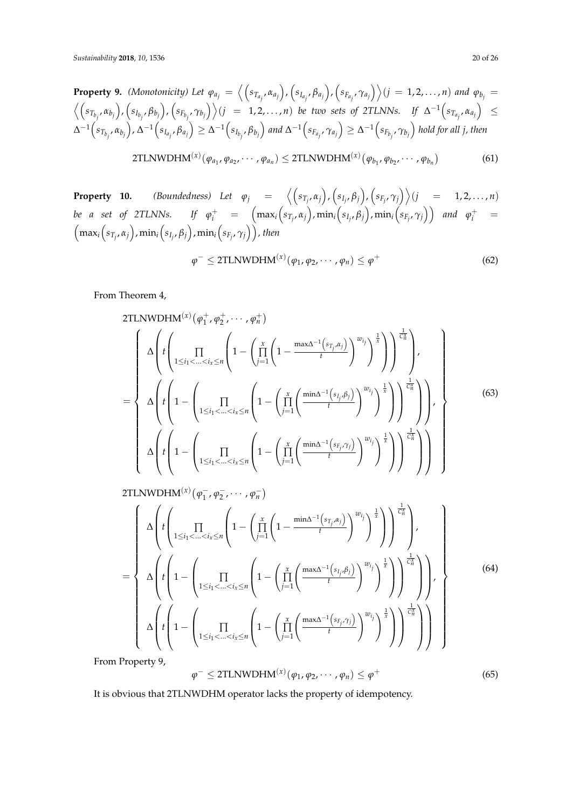**Property 9.** (Monotonicity) Let  $\varphi_{a_j} = \left\langle \left(s_{T_{a_j}}, \alpha_{a_j}\right), \left(s_{I_{a_j}}, \beta_{a_j}\right), \left(s_{F_{a_j}}, \gamma_{a_j}\right) \right\rangle (j = 1, 2, ..., n)$  and  $\varphi_{b_j} =$  $\Big\langle \Big(s_{T_{b_j}}, \alpha_{b_j}\Big), \Big(s_{I_{b_j}}, \beta_{b_j}\Big), \Big(s_{F_{b_j}}, \gamma_{b_j}\Big)\Big\rangle (j\;\;=\;\;1,2,\ldots,n) \;\; be \;\; two \;\; sets \;\; of \;\; 2TLNNs. \quad\; If \;\; \Delta^{-1}\Big(s_{T_{a_j}}, \alpha_{a_j}\Big) \;\; \leq$  $\Delta^{-1}\Big(s_{T_{b_j}},\alpha_{b_j}\Big)$ ,  $\Delta^{-1}\Big(s_{I_{a_j}},\beta_{a_j}\Big)\geq \Delta^{-1}\Big(s_{I_{b_j}},\beta_{b_j}\Big)$  and  $\Delta^{-1}\Big(s_{F_{a_j}},\gamma_{a_j}\Big)\geq \Delta^{-1}\Big(s_{F_{b_j}},\gamma_{b_j}\Big)$  hold for all j, then

2TLNWDHM<sup>(x)</sup>(
$$
\varphi_{a_1}, \varphi_{a_2}, \cdots, \varphi_{a_n}
$$
)  $\leq$ 2TLNWDHM<sup>(x)</sup>( $\varphi_{b_1}, \varphi_{b_2}, \cdots, \varphi_{b_n}$ ) (61)

**Property 10.** (Boundedness) Let  $\varphi_j = \langle (s_{T_j}, \alpha_j), (s_{I_j}, \beta_j), (s_{F_j}, \gamma_j) \rangle (j = 1, 2, ..., n)$ be a set of 2TLNNs. If  $\varphi^+_i$  =  $\Big(\max_i\Big(s_{T_j},\alpha_j\Big),\min_i\Big(s_{I_j},\beta_j\Big),\min_i\Big(s_{F_j},\gamma_j\Big)\Big)$  and  $\varphi^+_i$  =  $\left(\max_i\left(s_{T_j},\alpha_j\right),\min_i\left(s_{I_j},\beta_j\right),\min_i\left(s_{F_j},\gamma_j\right)\right)$ , then

$$
\varphi^{-} \leq 2\text{TLNWDHM}^{(x)}(\varphi_1, \varphi_2, \cdots, \varphi_n) \leq \varphi^{+}
$$
\n(62)

From Theorem 4,

2TLNWDHM<sup>(x)</sup> 
$$
(\varphi_1^+, \varphi_2^+, \cdots, \varphi_n^+)
$$
  
\n
$$
= \begin{cases}\n\Delta \left( t \left( \prod_{1 \leq i_1 < \ldots < i_x \leq n} \left( 1 - \left( \prod_{j=1}^x \left( 1 - \frac{\max \Delta^{-1}(s_{T_j}, \alpha_j)}{t} \right)^{w_{i_j}} \right)^{\frac{1}{x}} \right) \right) \right), \\
\Delta \left( t \left( 1 - \left( \prod_{1 \leq i_1 < \ldots < i_x \leq n} \left( 1 - \left( \prod_{j=1}^x \left( \frac{\min \Delta^{-1}(s_{I_j}, \beta_j)}{t} \right)^{w_{I_j}} \right)^{\frac{1}{x}} \right) \right) \right), \\
\Delta \left( t \left( 1 - \left( \prod_{1 \leq i_1 < \ldots < i_x \leq n} \left( 1 - \left( \prod_{j=1}^x \left( \frac{\min \Delta^{-1}(s_{F_j}, \gamma_j)}{t} \right)^{w_{I_j}} \right)^{\frac{1}{x}} \right) \right) \right) \right)\n\end{cases}
$$
\n(63)

2TLNWDHM $^{(x)}(\varphi_1^-)$  $\bar{\varphi}_1^-, \varphi_2^-, \cdots, \varphi_n^-\}$ 

$$
= \left\{\begin{array}{l}\Delta\left(t\left(\prod_{1\leq i_1<\ldots
$$

From Property 9,

$$
\varphi^{-} \leq 2\text{TLNWDHM}^{(x)}(\varphi_1, \varphi_2, \cdots, \varphi_n) \leq \varphi^{+}
$$
\n(65)

It is obvious that 2TLNWDHM operator lacks the property of idempotency.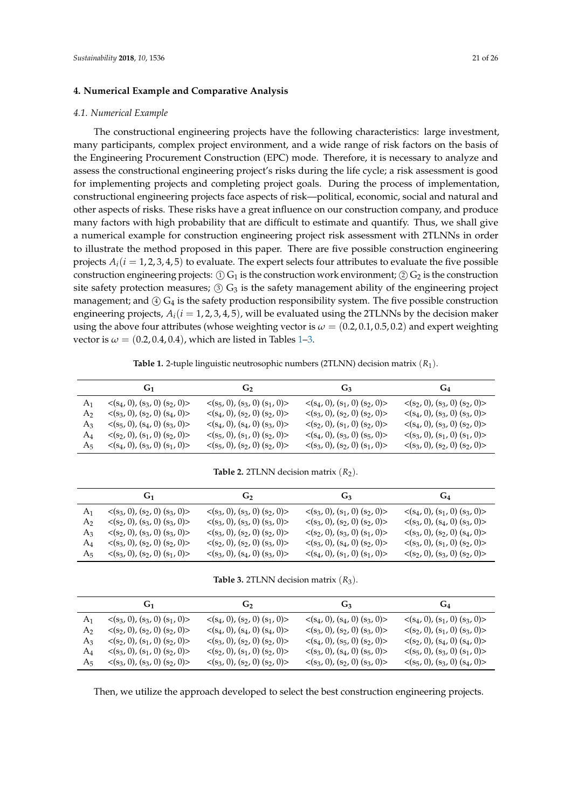### <span id="page-20-0"></span>**4. Numerical Example and Comparative Analysis**

#### *4.1. Numerical Example*

The constructional engineering projects have the following characteristics: large investment, many participants, complex project environment, and a wide range of risk factors on the basis of the Engineering Procurement Construction (EPC) mode. Therefore, it is necessary to analyze and assess the constructional engineering project's risks during the life cycle; a risk assessment is good for implementing projects and completing project goals. During the process of implementation, constructional engineering projects face aspects of risk—political, economic, social and natural and other aspects of risks. These risks have a great influence on our construction company, and produce many factors with high probability that are difficult to estimate and quantify. Thus, we shall give a numerical example for construction engineering project risk assessment with 2TLNNs in order to illustrate the method proposed in this paper. There are five possible construction engineering projects  $A_i(i = 1, 2, 3, 4, 5)$  to evaluate. The expert selects four attributes to evaluate the five possible construction engineering projects:  $\textcircled{1}$  G<sub>1</sub> is the construction work environment;  $\textcircled{2}$  G<sub>2</sub> is the construction site safety protection measures;  $\circled{3}$  G<sub>3</sub> is the safety management ability of the engineering project management; and  $\overline{4}$  G<sub>4</sub> is the safety production responsibility system. The five possible construction engineering projects,  $A_i(i = 1, 2, 3, 4, 5)$ , will be evaluated using the 2TLNNs by the decision maker using the above four attributes (whose weighting vector is  $\omega = (0.2, 0.1, 0.5, 0.2)$  and expert weighting vector is  $\omega = (0.2, 0.4, 0.4)$ , which are listed in Tables [1](#page-20-1)[–3.](#page-20-2)

**Table 1.** 2-tuple linguistic neutrosophic numbers (2TLNN) decision matrix (*R*1).

<span id="page-20-1"></span>

|    | $G_1$                                          | $\mathbf{G_2}$                                 | $G_3$                                          | $G_4$                                          |
|----|------------------------------------------------|------------------------------------------------|------------------------------------------------|------------------------------------------------|
| A1 | $\langle (s_4, 0), (s_3, 0), (s_2, 0) \rangle$ | $\langle (s_5, 0), (s_3, 0), (s_1, 0) \rangle$ | $\langle (s_4, 0), (s_1, 0), (s_2, 0) \rangle$ | $\langle (s_2, 0), (s_3, 0) (s_2, 0) \rangle$  |
| A2 | $\langle (s_3, 0), (s_2, 0), (s_4, 0) \rangle$ | $\langle (s_4, 0), (s_2, 0), (s_2, 0) \rangle$ | $\langle (s_3, 0), (s_2, 0), (s_2, 0) \rangle$ | $\langle (s_4, 0), (s_3, 0), (s_3, 0) \rangle$ |
| A3 | $\langle (s_5, 0), (s_4, 0), (s_3, 0) \rangle$ | $\langle (s_4, 0), (s_4, 0), (s_3, 0) \rangle$ | $\langle (s_2, 0), (s_1, 0), (s_2, 0) \rangle$ | $\langle (s_4, 0), (s_3, 0), (s_2, 0) \rangle$ |
| A4 | $\langle (s_2, 0), (s_1, 0), (s_2, 0) \rangle$ | $\langle (s_5, 0), (s_1, 0), (s_2, 0) \rangle$ | $\langle (s_4, 0), (s_3, 0), (s_5, 0) \rangle$ | $\langle (s_3, 0), (s_1, 0), (s_1, 0) \rangle$ |
| Aҕ | $\langle (s_4, 0), (s_3, 0), (s_1, 0) \rangle$ | $\langle (s_5, 0), (s_2, 0), (s_2, 0) \rangle$ | $\langle (s_3, 0), (s_2, 0), (s_1, 0) \rangle$ | $\langle (s_3, 0), (s_2, 0), (s_2, 0) \rangle$ |

**Table 2.** 2TLNN decision matrix  $(R_2)$ .

|                | G <sub>1</sub>                                 | $\mathbf{G}$                                   | $G_3$                                          | $G_4$                                          |
|----------------|------------------------------------------------|------------------------------------------------|------------------------------------------------|------------------------------------------------|
| A <sub>1</sub> | $\langle (s_3, 0), (s_2, 0), (s_3, 0) \rangle$ | $\langle (s_3, 0), (s_3, 0) (s_2, 0) \rangle$  | $\langle (s_3, 0), (s_1, 0), (s_2, 0) \rangle$ | $\langle (s_4, 0), (s_1, 0), (s_3, 0) \rangle$ |
| A2             | $\langle (s_2, 0), (s_3, 0), (s_3, 0) \rangle$ | $\langle (s_3, 0), (s_3, 0), (s_3, 0) \rangle$ | $\langle (s_3, 0), (s_2, 0), (s_2, 0) \rangle$ | $\langle (s_3, 0), (s_4, 0), (s_3, 0) \rangle$ |
| A3             | $\langle (s_2, 0), (s_3, 0), (s_3, 0) \rangle$ | $\langle (s_3, 0), (s_2, 0), (s_2, 0) \rangle$ | $\langle (s_2, 0), (s_3, 0), (s_1, 0) \rangle$ | $\langle (s_3, 0), (s_2, 0), (s_4, 0) \rangle$ |
| A4             | $\langle (s_3, 0), (s_2, 0), (s_2, 0) \rangle$ | $\langle (s_2, 0), (s_2, 0), (s_3, 0) \rangle$ | $\langle (s_3, 0), (s_4, 0), (s_2, 0) \rangle$ | $\langle (s_3, 0), (s_1, 0), (s_2, 0) \rangle$ |
| Aҕ             | $\langle (s_3, 0), (s_2, 0), (s_1, 0) \rangle$ | $\langle (s_3, 0), (s_4, 0), (s_3, 0) \rangle$ | $\langle (s_4, 0), (s_1, 0), (s_1, 0) \rangle$ | $\langle (s_2, 0), (s_3, 0), (s_2, 0) \rangle$ |

**Table 3.** 2TLNN decision matrix  $(R_3)$ .

<span id="page-20-2"></span>

|       | $G_1$                                          | $\mathbf{G_2}$                                 | $G_3$                                          | $G_4$                                          |
|-------|------------------------------------------------|------------------------------------------------|------------------------------------------------|------------------------------------------------|
| A1    | $\langle (s_3, 0), (s_3, 0), (s_1, 0) \rangle$ | $\langle (s_4, 0), (s_2, 0), (s_1, 0) \rangle$ | $\langle (s_4, 0), (s_4, 0), (s_3, 0) \rangle$ | $\langle (s_4, 0), (s_1, 0), (s_3, 0) \rangle$ |
| A2    | $\langle (s_2, 0), (s_2, 0), (s_2, 0) \rangle$ | $\langle (s_4, 0), (s_4, 0), (s_4, 0) \rangle$ | $\langle (s_3, 0), (s_2, 0), (s_3, 0) \rangle$ | $\langle (s_2, 0), (s_1, 0), (s_3, 0) \rangle$ |
| $A_3$ | $\langle (s_2, 0), (s_1, 0), (s_2, 0) \rangle$ | $\langle (s_3, 0), (s_2, 0), (s_2, 0) \rangle$ | $\langle (s_4, 0), (s_5, 0), (s_2, 0) \rangle$ | $\langle (s_2, 0), (s_4, 0), (s_4, 0) \rangle$ |
| A4    | $\langle (s_3, 0), (s_1, 0), (s_2, 0) \rangle$ | $\langle (s_2, 0), (s_1, 0), (s_2, 0) \rangle$ | $\langle (s_3, 0), (s_4, 0), (s_5, 0) \rangle$ | $\langle (s_5, 0), (s_3, 0), (s_1, 0) \rangle$ |
| Aҕ    | $\langle (s_3, 0), (s_3, 0), (s_2, 0) \rangle$ | $\langle (s_3, 0), (s_2, 0), (s_2, 0) \rangle$ | $\langle (s_3, 0), (s_2, 0), (s_3, 0) \rangle$ | $\langle (s_5, 0), (s_3, 0), (s_4, 0) \rangle$ |

Then, we utilize the approach developed to select the best construction engineering projects.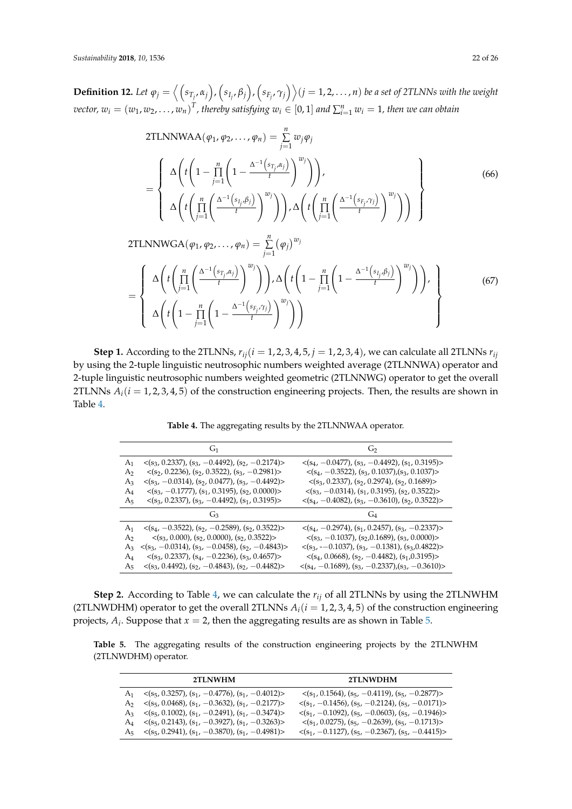**Definition 12.** Let  $\varphi_j=\big\langle \Big(s_{T_j},\alpha_j\Big),\Big(s_{I_j},\beta_j\Big),\Big(s_{F_j},\gamma_j\Big)\big\rangle (j=1,2,\ldots,n)$  be a set of 2TLNNs with the weight *vector,*  $w_i = (w_1, w_2, \dots, w_n)^T$ *, thereby satisfying*  $w_i \in [0, 1]$  *and*  $\sum_{i=1}^n w_i = 1$ *, then we can obtain* 

2TLNNWAA
$$
(\varphi_1, \varphi_2, ..., \varphi_n)
$$
 =  $\sum_{j=1}^n w_j \varphi_j$   
\n=
$$
\begin{cases}\n\Delta \left( t \left( 1 - \prod_{j=1}^n \left( 1 - \frac{\Delta^{-1} \left( s_{T_j}, \alpha_j \right)}{t} \right)^{w_j} \right) \right), \\
\Delta \left( t \left( \prod_{j=1}^n \left( \frac{\Delta^{-1} \left( s_{I_j}, \beta_j \right)}{t} \right)^{w_j} \right) \right), \\
\Delta \left( t \left( \prod_{j=1}^n \left( \frac{\Delta^{-1} \left( s_{I_j}, \beta_j \right)}{t} \right)^{w_j} \right) \right), \\
\Delta \left( t \left( \prod_{j=1}^n \left( \frac{\Delta^{-1} \left( s_{I_j}, \gamma_j \right)}{t} \right)^{w_j} \right) \right) \right)\n\end{cases}
$$
\n(66)

2TLNNWGA
$$
(\varphi_1, \varphi_2, ..., \varphi_n)
$$
 =  $\sum_{j=1}^n (\varphi_j)^{w_j}$   
\n= 
$$
\begin{cases}\n\Delta \left( t \left( \prod_{j=1}^n \left( \frac{\Delta^{-1} \left( s_{T_j}, \alpha_j \right)}{t} \right)^{w_j} \right) \right), \Delta \left( t \left( 1 - \prod_{j=1}^n \left( 1 - \frac{\Delta^{-1} \left( s_{T_j}, \beta_j \right)}{t} \right)^{w_j} \right) \right), \\
\Delta \left( t \left( 1 - \prod_{j=1}^n \left( 1 - \frac{\Delta^{-1} \left( s_{F_j}, \gamma_j \right)}{t} \right)^{w_j} \right) \right)\n\end{cases}
$$
\n(67)

**Step 1.** According to the 2TLNNs,  $r_{ij}$  ( $i = 1, 2, 3, 4, 5, j = 1, 2, 3, 4$ ), we can calculate all 2TLNNs  $r_{ij}$ by using the 2-tuple linguistic neutrosophic numbers weighted average (2TLNNWA) operator and 2-tuple linguistic neutrosophic numbers weighted geometric (2TLNNWG) operator to get the overall 2TLNNs  $A_i(i = 1, 2, 3, 4, 5)$  of the construction engineering projects. Then, the results are shown in Table [4.](#page-21-0)

**Table 4.** The aggregating results by the 2TLNNWAA operator.

<span id="page-21-0"></span>

|                | G <sub>1</sub>                                                   | G <sub>2</sub>                                                   |
|----------------|------------------------------------------------------------------|------------------------------------------------------------------|
| $A_1$          | $\langle (s_3, 0.2337), (s_3, -0.4492), (s_2, -0.2174) \rangle$  | $\langle (s_4, -0.0477), (s_3, -0.4492), (s_1, 0.3195) \rangle$  |
| A2             | $\langle (s_2, 0.2236), (s_2, 0.3522), (s_3, -0.2981) \rangle$   | $\langle (s_4, -0.3522), (s_3, 0.1037), (s_3, 0.1037) \rangle$   |
| $A_3$          | $\langle (s_3, -0.0314), (s_2, 0.0477), (s_3, -0.4492) \rangle$  | $\langle (s_3, 0.2337), (s_2, 0.2974), (s_2, 0.1689) \rangle$    |
| A4             | $\langle (s_3, -0.1777), (s_1, 0.3195), (s_2, 0.0000) \rangle$   | $\langle (s_3, -0.0314), (s_1, 0.3195), (s_2, 0.3522) \rangle$   |
| $A_5$          | $\langle (s_3, 0.2337), (s_3, -0.4492), (s_1, 0.3195) \rangle$   | $\langle (s_4, -0.4082), (s_3, -0.3610), (s_2, 0.3522) \rangle$  |
|                | G2                                                               |                                                                  |
| A <sub>1</sub> | $\langle (s_4, -0.3522), (s_2, -0.2589), (s_2, 0.3522) \rangle$  | $\langle (s_4, -0.2974), (s_1, 0.2457), (s_3, -0.2337) \rangle$  |
| A2             | $\langle (s_3, 0.000), (s_2, 0.0000), (s_2, 0.3522) \rangle$     | $\langle (s_3, -0.1037), (s_2, 0.1689), (s_3, 0.0000) \rangle$   |
| $A_3$          | $\langle (s_3, -0.0314), (s_3, -0.0458), (s_2, -0.4843) \rangle$ | $\langle (s_3, -0.1037), (s_3, -0.1381), (s_3, 0.4822) \rangle$  |
| A4             | $\langle (s_3, 0.2337), (s_4, -0.2236), (s_3, 0.4657) \rangle$   | $\langle (s_4, 0.0668), (s_2, -0.4482), (s_1, 0.3195) \rangle$   |
| A5             | $\langle (s_3, 0.4492), (s_2, -0.4843), (s_2, -0.4482) \rangle$  | $\langle (s_4, -0.1689), (s_3, -0.2337), (s_3, -0.3610) \rangle$ |

**Step 2.** According to Table [4,](#page-21-0) we can calculate the *rij* of all 2TLNNs by using the 2TLNWHM (2TLNWDHM) operator to get the overall 2TLNNs  $A_i(i = 1, 2, 3, 4, 5)$  of the construction engineering projects,  $A_i$ . Suppose that  $x = 2$ , then the aggregating results are as shown in Table [5.](#page-21-1)

<span id="page-21-1"></span>**Table 5.** The aggregating results of the construction engineering projects by the 2TLNWHM (2TLNWDHM) operator.

|                | 2TLNWHM                                                         | 2TLNWDHM                                                         |
|----------------|-----------------------------------------------------------------|------------------------------------------------------------------|
| A1.            | $\langle (s_5, 0.3257), (s_1, -0.4776), (s_1, -0.4012) \rangle$ | $\langle (s_1, 0.1564), (s_5, -0.4119), (s_5, -0.2877) \rangle$  |
| A <sub>2</sub> | $\langle (s_5, 0.0468), (s_1, -0.3632), (s_1, -0.2177) \rangle$ | $\langle (s_1, -0.1456), (s_5, -0.2124), (s_5, -0.0171) \rangle$ |
| A3 -           | $\langle (s_5, 0.1002), (s_1, -0.2491), (s_1, -0.3474) \rangle$ | $\langle (s_1, -0.1092), (s_5, -0.0603), (s_5, -0.1946) \rangle$ |
| $\rm A_4$      | $\langle (s_5, 0.2143), (s_1, -0.3927), (s_1, -0.3263) \rangle$ | $\langle (s_1, 0.0275), (s_5, -0.2639), (s_5, -0.1713) \rangle$  |
| A <sub>5</sub> | $\langle (s_5, 0.2941), (s_1, -0.3870), (s_1, -0.4981) \rangle$ | $\langle (s_1, -0.1127), (s_5, -0.2367), (s_5, -0.4415) \rangle$ |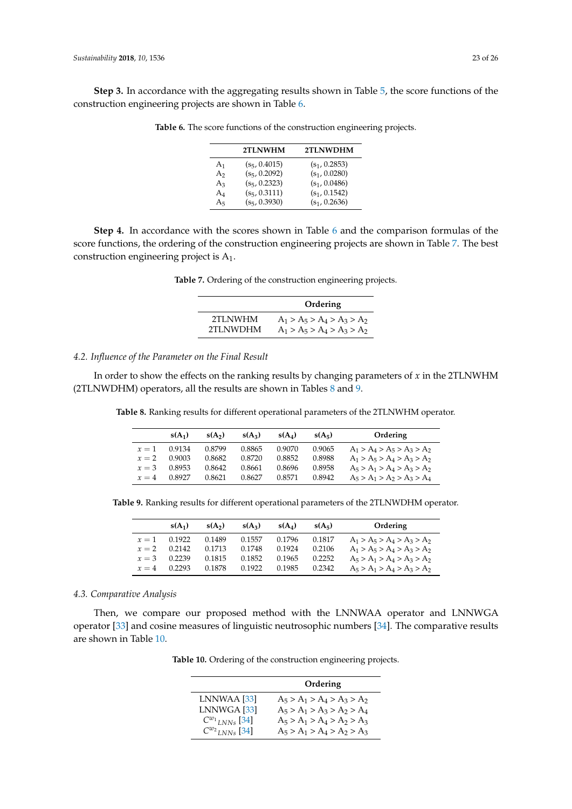<span id="page-22-0"></span>**Step 3.** In accordance with the aggregating results shown in Table [5,](#page-21-1) the score functions of the construction engineering projects are shown in Table [6.](#page-22-0)

|                | 2TLNWHM         | 2TLNWDHM        |
|----------------|-----------------|-----------------|
| A <sub>1</sub> | $(s_5, 0.4015)$ | $(s_1, 0.2853)$ |
| A <sub>2</sub> | $(s_5, 0.2092)$ | $(s_1, 0.0280)$ |
| $A_3$          | $(s_5, 0.2323)$ | $(s_1, 0.0486)$ |
| $A_4$          | $(s_5, 0.3111)$ | $(s_1, 0.1542)$ |
| A <sub>5</sub> | $(s_5, 0.3930)$ | $(s_1, 0.2636)$ |

**Table 6.** The score functions of the construction engineering projects.

<span id="page-22-1"></span>**Step 4.** In accordance with the scores shown in Table [6](#page-22-0) and the comparison formulas of the score functions, the ordering of the construction engineering projects are shown in Table [7.](#page-22-1) The best construction engineering project is A1.

|  |  | Table 7. Ordering of the construction engineering projects. |  |  |
|--|--|-------------------------------------------------------------|--|--|

|          | Ordering                      |
|----------|-------------------------------|
| 2TLNWHM  | $A_1 > A_5 > A_4 > A_3 > A_2$ |
| 2TLNWDHM | $A_1 > A_5 > A_4 > A_3 > A_2$ |

### *4.2. Influence of the Parameter on the Final Result*

<span id="page-22-2"></span>In order to show the effects on the ranking results by changing parameters of *x* in the 2TLNWHM (2TLNWDHM) operators, all the results are shown in Tables [8](#page-22-2) and [9.](#page-22-3)

**Table 8.** Ranking results for different operational parameters of the 2TLNWHM operator.

|         | $s(A_1)$ | $s(A_2)$ | $s(A_3)$ | $s(A_4)$ | $s(A_5)$ | Ordering                      |
|---------|----------|----------|----------|----------|----------|-------------------------------|
| $r=1$   | 0.9134   | 0.8799   | 0.8865   | 0.9070   | 0.9065   | $A_1 > A_4 > A_5 > A_3 > A_2$ |
| $x=2$   | 0.9003   | 0.8682   | 0.8720   | 0.8852   | 0.8988   | $A_1 > A_5 > A_4 > A_3 > A_2$ |
| $x = 3$ | 0.8953   | 0.8642   | 0.8661   | 0.8696   | 0.8958   | $A_5 > A_1 > A_4 > A_3 > A_2$ |
| $r=4$   | 0.8927   | 0.8621   | 0.8627   | 0.8571   | 0.8942   | $A_5 > A_1 > A_2 > A_3 > A_4$ |

<span id="page-22-3"></span>**Table 9.** Ranking results for different operational parameters of the 2TLNWDHM operator.

|         | $s(A_1)$ | $s(A_2)$ | $s(A_3)$ | $s(A_4)$ | $s(A_5)$ | Ordering                      |
|---------|----------|----------|----------|----------|----------|-------------------------------|
| $r=1$   | 0.1922   | 0.1489   | 0.1557   | 0.1796   | 0.1817   | $A_1 > A_5 > A_4 > A_3 > A_2$ |
| $x = 2$ | 0.2142   | 0.1713   | 0.1748   | 0.1924   | 0.2106   | $A_1 > A_5 > A_4 > A_3 > A_2$ |
| $x = 3$ | 0.2239   | 0.1815   | 0.1852   | 0.1965   | 0.2252   | $A_5 > A_1 > A_4 > A_3 > A_2$ |
| $r=4$   | 0.2293   | 0.1878   | 0.1922   | 0.1985   | 0.2342   | $A_5 > A_1 > A_4 > A_3 > A_2$ |

### *4.3. Comparative Analysis*

<span id="page-22-4"></span>Then, we compare our proposed method with the LNNWAA operator and LNNWGA operator [\[33\]](#page-24-20) and cosine measures of linguistic neutrosophic numbers [\[34\]](#page-24-21). The comparative results are shown in Table [10.](#page-22-4)

**Table 10.** Ordering of the construction engineering projects.

|                                | Ordering                      |
|--------------------------------|-------------------------------|
| LNNWAA [33]                    | $A_5 > A_1 > A_4 > A_3 > A_2$ |
| LNNWGA [33]                    | $A_5 > A_1 > A_3 > A_2 > A_4$ |
| $C^{w_1}$ <sub>LNNs</sub> [34] | $A_5 > A_1 > A_4 > A_2 > A_3$ |
| $C^{w_2}$ <sub>LNNs</sub> [34] | $A_5 > A_1 > A_4 > A_2 > A_3$ |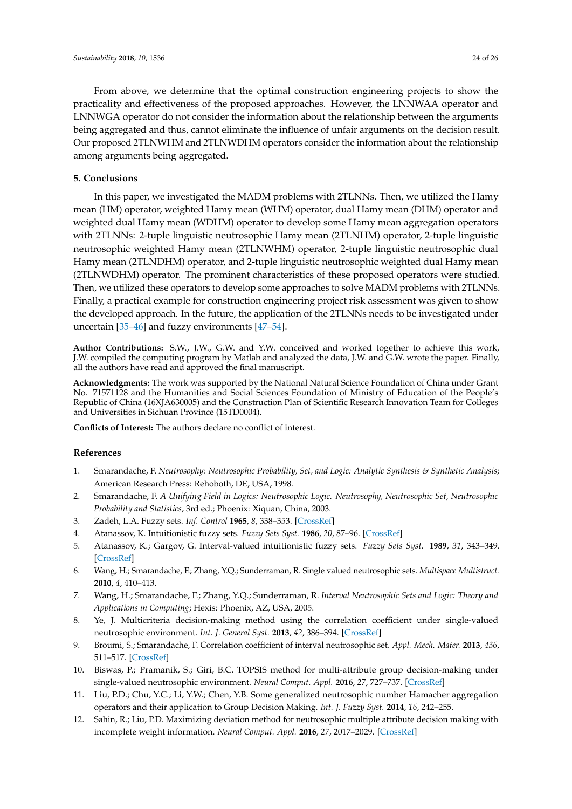From above, we determine that the optimal construction engineering projects to show the practicality and effectiveness of the proposed approaches. However, the LNNWAA operator and LNNWGA operator do not consider the information about the relationship between the arguments being aggregated and thus, cannot eliminate the influence of unfair arguments on the decision result. Our proposed 2TLNWHM and 2TLNWDHM operators consider the information about the relationship among arguments being aggregated.

### <span id="page-23-12"></span>**5. Conclusions**

In this paper, we investigated the MADM problems with 2TLNNs. Then, we utilized the Hamy mean (HM) operator, weighted Hamy mean (WHM) operator, dual Hamy mean (DHM) operator and weighted dual Hamy mean (WDHM) operator to develop some Hamy mean aggregation operators with 2TLNNs: 2-tuple linguistic neutrosophic Hamy mean (2TLNHM) operator, 2-tuple linguistic neutrosophic weighted Hamy mean (2TLNWHM) operator, 2-tuple linguistic neutrosophic dual Hamy mean (2TLNDHM) operator, and 2-tuple linguistic neutrosophic weighted dual Hamy mean (2TLNWDHM) operator. The prominent characteristics of these proposed operators were studied. Then, we utilized these operators to develop some approaches to solve MADM problems with 2TLNNs. Finally, a practical example for construction engineering project risk assessment was given to show the developed approach. In the future, the application of the 2TLNNs needs to be investigated under uncertain [\[35](#page-24-22)[–46\]](#page-25-0) and fuzzy environments [\[47](#page-25-1)[–54\]](#page-25-2).

**Author Contributions:** S.W., J.W., G.W. and Y.W. conceived and worked together to achieve this work, J.W. compiled the computing program by Matlab and analyzed the data, J.W. and G.W. wrote the paper. Finally, all the authors have read and approved the final manuscript.

**Acknowledgments:** The work was supported by the National Natural Science Foundation of China under Grant No. 71571128 and the Humanities and Social Sciences Foundation of Ministry of Education of the People's Republic of China (16XJA630005) and the Construction Plan of Scientific Research Innovation Team for Colleges and Universities in Sichuan Province (15TD0004).

**Conflicts of Interest:** The authors declare no conflict of interest.

### **References**

- <span id="page-23-0"></span>1. Smarandache, F. *Neutrosophy: Neutrosophic Probability, Set, and Logic: Analytic Synthesis & Synthetic Analysis*; American Research Press: Rehoboth, DE, USA, 1998.
- <span id="page-23-1"></span>2. Smarandache, F. *A Unifying Field in Logics: Neutrosophic Logic. Neutrosophy, Neutrosophic Set, Neutrosophic Probability and Statistics*, 3rd ed.; Phoenix: Xiquan, China, 2003.
- <span id="page-23-2"></span>3. Zadeh, L.A. Fuzzy sets. *Inf. Control* **1965**, *8*, 338–353. [\[CrossRef\]](http://dx.doi.org/10.1016/S0019-9958(65)90241-X)
- <span id="page-23-3"></span>4. Atanassov, K. Intuitionistic fuzzy sets. *Fuzzy Sets Syst.* **1986**, *20*, 87–96. [\[CrossRef\]](http://dx.doi.org/10.1016/S0165-0114(86)80034-3)
- <span id="page-23-4"></span>5. Atanassov, K.; Gargov, G. Interval-valued intuitionistic fuzzy sets. *Fuzzy Sets Syst.* **1989**, *31*, 343–349. [\[CrossRef\]](http://dx.doi.org/10.1016/0165-0114(89)90205-4)
- <span id="page-23-5"></span>6. Wang, H.; Smarandache, F.; Zhang, Y.Q.; Sunderraman, R. Single valued neutrosophic sets. *Multispace Multistruct.* **2010**, *4*, 410–413.
- <span id="page-23-6"></span>7. Wang, H.; Smarandache, F.; Zhang, Y.Q.; Sunderraman, R. *Interval Neutrosophic Sets and Logic: Theory and Applications in Computing*; Hexis: Phoenix, AZ, USA, 2005.
- <span id="page-23-7"></span>8. Ye, J. Multicriteria decision-making method using the correlation coefficient under single-valued neutrosophic environment. *Int. J. General Syst.* **2013**, *42*, 386–394. [\[CrossRef\]](http://dx.doi.org/10.1080/03081079.2012.761609)
- <span id="page-23-8"></span>9. Broumi, S.; Smarandache, F. Correlation coefficient of interval neutrosophic set. *Appl. Mech. Mater.* **2013**, *436*, 511–517. [\[CrossRef\]](http://dx.doi.org/10.4028/www.scientific.net/AMM.436.511)
- <span id="page-23-9"></span>10. Biswas, P.; Pramanik, S.; Giri, B.C. TOPSIS method for multi-attribute group decision-making under single-valued neutrosophic environment. *Neural Comput. Appl.* **2016**, *27*, 727–737. [\[CrossRef\]](http://dx.doi.org/10.1007/s00521-015-1891-2)
- <span id="page-23-10"></span>11. Liu, P.D.; Chu, Y.C.; Li, Y.W.; Chen, Y.B. Some generalized neutrosophic number Hamacher aggregation operators and their application to Group Decision Making. *Int. J. Fuzzy Syst.* **2014**, *16*, 242–255.
- <span id="page-23-11"></span>12. Sahin, R.; Liu, P.D. Maximizing deviation method for neutrosophic multiple attribute decision making with incomplete weight information. *Neural Comput. Appl.* **2016**, *27*, 2017–2029. [\[CrossRef\]](http://dx.doi.org/10.1007/s00521-015-1995-8)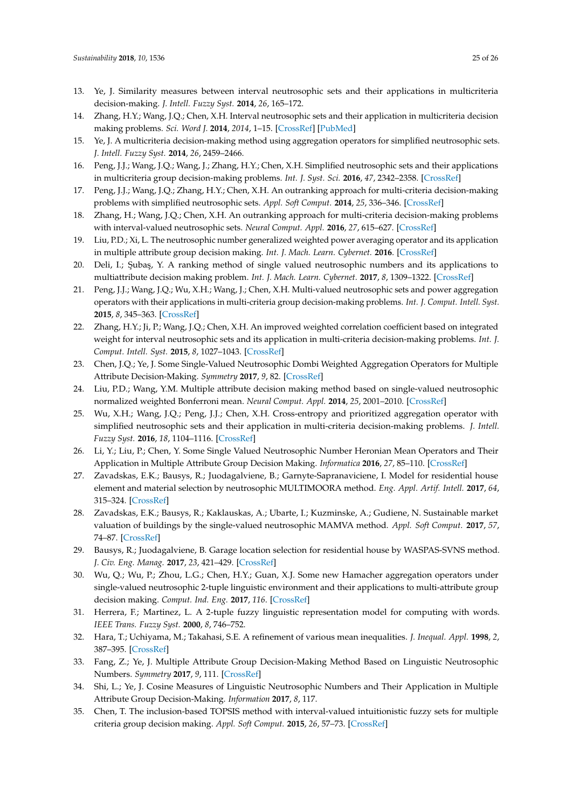- <span id="page-24-0"></span>13. Ye, J. Similarity measures between interval neutrosophic sets and their applications in multicriteria decision-making. *J. Intell. Fuzzy Syst.* **2014**, *26*, 165–172.
- <span id="page-24-1"></span>14. Zhang, H.Y.; Wang, J.Q.; Chen, X.H. Interval neutrosophic sets and their application in multicriteria decision making problems. *Sci. Word J.* **2014**, *2014*, 1–15. [\[CrossRef\]](http://dx.doi.org/10.1155/2014/645953) [\[PubMed\]](http://www.ncbi.nlm.nih.gov/pubmed/24695916)
- <span id="page-24-2"></span>15. Ye, J. A multicriteria decision-making method using aggregation operators for simplified neutrosophic sets. *J. Intell. Fuzzy Syst.* **2014**, *26*, 2459–2466.
- <span id="page-24-3"></span>16. Peng, J.J.; Wang, J.Q.; Wang, J.; Zhang, H.Y.; Chen, X.H. Simplified neutrosophic sets and their applications in multicriteria group decision-making problems. *Int. J. Syst. Sci.* **2016**, *47*, 2342–2358. [\[CrossRef\]](http://dx.doi.org/10.1080/00207721.2014.994050)
- <span id="page-24-4"></span>17. Peng, J.J.; Wang, J.Q.; Zhang, H.Y.; Chen, X.H. An outranking approach for multi-criteria decision-making problems with simplified neutrosophic sets. *Appl. Soft Comput.* **2014**, *25*, 336–346. [\[CrossRef\]](http://dx.doi.org/10.1016/j.asoc.2014.08.070)
- <span id="page-24-5"></span>18. Zhang, H.; Wang, J.Q.; Chen, X.H. An outranking approach for multi-criteria decision-making problems with interval-valued neutrosophic sets. *Neural Comput. Appl.* **2016**, *27*, 615–627. [\[CrossRef\]](http://dx.doi.org/10.1007/s00521-015-1882-3)
- <span id="page-24-6"></span>19. Liu, P.D.; Xi, L. The neutrosophic number generalized weighted power averaging operator and its application in multiple attribute group decision making. *Int. J. Mach. Learn. Cybernet.* **2016**. [\[CrossRef\]](http://dx.doi.org/10.1007/s13042-016-0508-0)
- <span id="page-24-7"></span>20. Deli, I.; Şubaş, Y. A ranking method of single valued neutrosophic numbers and its applications to multiattribute decision making problem. *Int. J. Mach. Learn. Cybernet.* **2017**, *8*, 1309–1322. [\[CrossRef\]](http://dx.doi.org/10.1007/s13042-016-0505-3)
- <span id="page-24-8"></span>21. Peng, J.J.; Wang, J.Q.; Wu, X.H.; Wang, J.; Chen, X.H. Multi-valued neutrosophic sets and power aggregation operators with their applications in multi-criteria group decision-making problems. *Int. J. Comput. Intell. Syst.* **2015**, *8*, 345–363. [\[CrossRef\]](http://dx.doi.org/10.1080/18756891.2015.1001957)
- <span id="page-24-9"></span>22. Zhang, H.Y.; Ji, P.; Wang, J.Q.; Chen, X.H. An improved weighted correlation coefficient based on integrated weight for interval neutrosophic sets and its application in multi-criteria decision-making problems. *Int. J. Comput. Intell. Syst.* **2015**, *8*, 1027–1043. [\[CrossRef\]](http://dx.doi.org/10.1080/18756891.2015.1099917)
- <span id="page-24-10"></span>23. Chen, J.Q.; Ye, J. Some Single-Valued Neutrosophic Dombi Weighted Aggregation Operators for Multiple Attribute Decision-Making. *Symmetry* **2017**, *9*, 82. [\[CrossRef\]](http://dx.doi.org/10.3390/sym9060082)
- <span id="page-24-11"></span>24. Liu, P.D.; Wang, Y.M. Multiple attribute decision making method based on single-valued neutrosophic normalized weighted Bonferroni mean. *Neural Comput. Appl.* **2014**, *25*, 2001–2010. [\[CrossRef\]](http://dx.doi.org/10.1007/s00521-014-1688-8)
- <span id="page-24-12"></span>25. Wu, X.H.; Wang, J.Q.; Peng, J.J.; Chen, X.H. Cross-entropy and prioritized aggregation operator with simplified neutrosophic sets and their application in multi-criteria decision-making problems. *J. Intell. Fuzzy Syst.* **2016**, *18*, 1104–1116. [\[CrossRef\]](http://dx.doi.org/10.1007/s40815-016-0180-2)
- <span id="page-24-13"></span>26. Li, Y.; Liu, P.; Chen, Y. Some Single Valued Neutrosophic Number Heronian Mean Operators and Their Application in Multiple Attribute Group Decision Making. *Informatica* **2016**, *27*, 85–110. [\[CrossRef\]](http://dx.doi.org/10.15388/Informatica.2016.78)
- <span id="page-24-14"></span>27. Zavadskas, E.K.; Bausys, R.; Juodagalviene, B.; Garnyte-Sapranaviciene, I. Model for residential house element and material selection by neutrosophic MULTIMOORA method. *Eng. Appl. Artif. Intell.* **2017**, *64*, 315–324. [\[CrossRef\]](http://dx.doi.org/10.1016/j.engappai.2017.06.020)
- <span id="page-24-15"></span>28. Zavadskas, E.K.; Bausys, R.; Kaklauskas, A.; Ubarte, I.; Kuzminske, A.; Gudiene, N. Sustainable market valuation of buildings by the single-valued neutrosophic MAMVA method. *Appl. Soft Comput.* **2017**, *57*, 74–87. [\[CrossRef\]](http://dx.doi.org/10.1016/j.asoc.2017.03.040)
- <span id="page-24-16"></span>29. Bausys, R.; Juodagalviene, B. Garage location selection for residential house by WASPAS-SVNS method. *J. Civ. Eng. Manag.* **2017**, *23*, 421–429. [\[CrossRef\]](http://dx.doi.org/10.3846/13923730.2016.1268645)
- <span id="page-24-17"></span>30. Wu, Q.; Wu, P.; Zhou, L.G.; Chen, H.Y.; Guan, X.J. Some new Hamacher aggregation operators under single-valued neutrosophic 2-tuple linguistic environment and their applications to multi-attribute group decision making. *Comput. Ind. Eng.* **2017**, *116*. [\[CrossRef\]](http://dx.doi.org/10.1016/j.cie.2017.12.024)
- <span id="page-24-18"></span>31. Herrera, F.; Martinez, L. A 2-tuple fuzzy linguistic representation model for computing with words. *IEEE Trans. Fuzzy Syst.* **2000**, *8*, 746–752.
- <span id="page-24-19"></span>32. Hara, T.; Uchiyama, M.; Takahasi, S.E. A refinement of various mean inequalities. *J. Inequal. Appl.* **1998**, *2*, 387–395. [\[CrossRef\]](http://dx.doi.org/10.1155/S1025583498000253)
- <span id="page-24-20"></span>33. Fang, Z.; Ye, J. Multiple Attribute Group Decision-Making Method Based on Linguistic Neutrosophic Numbers. *Symmetry* **2017**, *9*, 111. [\[CrossRef\]](http://dx.doi.org/10.3390/sym9070111)
- <span id="page-24-21"></span>34. Shi, L.; Ye, J. Cosine Measures of Linguistic Neutrosophic Numbers and Their Application in Multiple Attribute Group Decision-Making. *Information* **2017**, *8*, 117.
- <span id="page-24-22"></span>35. Chen, T. The inclusion-based TOPSIS method with interval-valued intuitionistic fuzzy sets for multiple criteria group decision making. *Appl. Soft Comput.* **2015**, *26*, 57–73. [\[CrossRef\]](http://dx.doi.org/10.1016/j.asoc.2014.09.015)